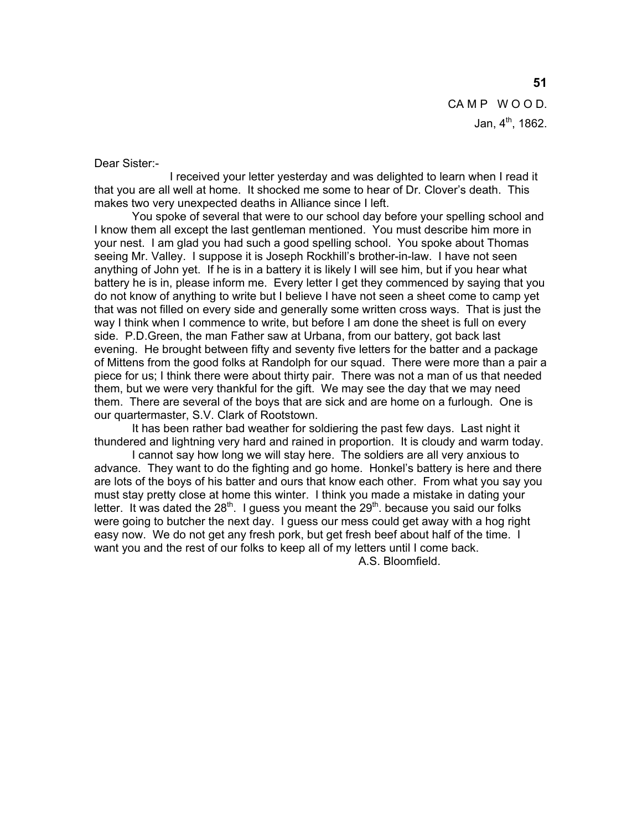CAMP WOOD. Jan,  $4^{th}$ , 1862.

Dear Sister:-

 I received your letter yesterday and was delighted to learn when I read it that you are all well at home. It shocked me some to hear of Dr. Clover's death. This makes two very unexpected deaths in Alliance since I left.

 You spoke of several that were to our school day before your spelling school and I know them all except the last gentleman mentioned. You must describe him more in your nest. I am glad you had such a good spelling school. You spoke about Thomas seeing Mr. Valley. I suppose it is Joseph Rockhill's brother-in-law. I have not seen anything of John yet. If he is in a battery it is likely I will see him, but if you hear what battery he is in, please inform me. Every letter I get they commenced by saying that you do not know of anything to write but I believe I have not seen a sheet come to camp yet that was not filled on every side and generally some written cross ways. That is just the way I think when I commence to write, but before I am done the sheet is full on every side. P.D.Green, the man Father saw at Urbana, from our battery, got back last evening. He brought between fifty and seventy five letters for the batter and a package of Mittens from the good folks at Randolph for our squad. There were more than a pair a piece for us; I think there were about thirty pair. There was not a man of us that needed them, but we were very thankful for the gift. We may see the day that we may need them. There are several of the boys that are sick and are home on a furlough. One is our quartermaster, S.V. Clark of Rootstown.

 It has been rather bad weather for soldiering the past few days. Last night it thundered and lightning very hard and rained in proportion. It is cloudy and warm today.

 I cannot say how long we will stay here. The soldiers are all very anxious to advance. They want to do the fighting and go home. Honkel's battery is here and there are lots of the boys of his batter and ours that know each other. From what you say you must stay pretty close at home this winter. I think you made a mistake in dating your letter. It was dated the  $28<sup>th</sup>$ . I guess you meant the  $29<sup>th</sup>$ . because you said our folks were going to butcher the next day. I guess our mess could get away with a hog right easy now. We do not get any fresh pork, but get fresh beef about half of the time. I want you and the rest of our folks to keep all of my letters until I come back.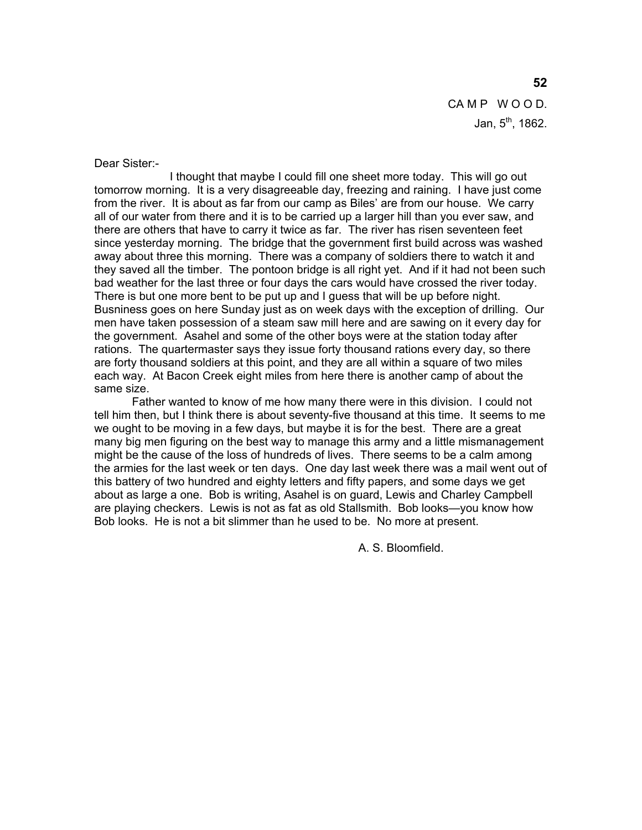CAMP WOOD. Jan,  $5^{th}$ , 1862.

Dear Sister:-

 I thought that maybe I could fill one sheet more today. This will go out tomorrow morning. It is a very disagreeable day, freezing and raining. I have just come from the river. It is about as far from our camp as Biles' are from our house. We carry all of our water from there and it is to be carried up a larger hill than you ever saw, and there are others that have to carry it twice as far. The river has risen seventeen feet since yesterday morning. The bridge that the government first build across was washed away about three this morning. There was a company of soldiers there to watch it and they saved all the timber. The pontoon bridge is all right yet. And if it had not been such bad weather for the last three or four days the cars would have crossed the river today. There is but one more bent to be put up and I guess that will be up before night. Busniness goes on here Sunday just as on week days with the exception of drilling. Our men have taken possession of a steam saw mill here and are sawing on it every day for the government. Asahel and some of the other boys were at the station today after rations. The quartermaster says they issue forty thousand rations every day, so there are forty thousand soldiers at this point, and they are all within a square of two miles each way. At Bacon Creek eight miles from here there is another camp of about the same size.

 Father wanted to know of me how many there were in this division. I could not tell him then, but I think there is about seventy-five thousand at this time. It seems to me we ought to be moving in a few days, but maybe it is for the best. There are a great many big men figuring on the best way to manage this army and a little mismanagement might be the cause of the loss of hundreds of lives. There seems to be a calm among the armies for the last week or ten days. One day last week there was a mail went out of this battery of two hundred and eighty letters and fifty papers, and some days we get about as large a one. Bob is writing, Asahel is on guard, Lewis and Charley Campbell are playing checkers. Lewis is not as fat as old Stallsmith. Bob looks—you know how Bob looks. He is not a bit slimmer than he used to be. No more at present.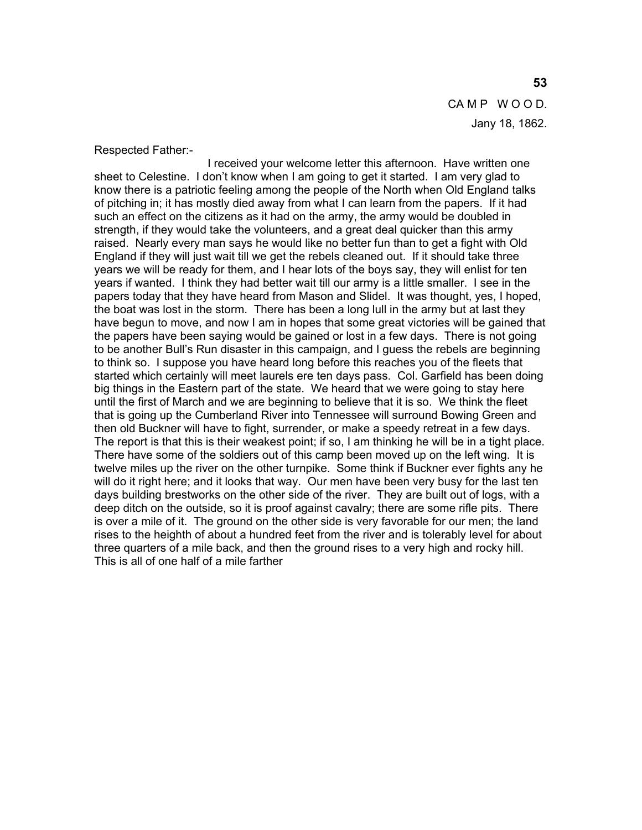# CAMP WOOD. Jany 18, 1862.

#### Respected Father:-

 I received your welcome letter this afternoon. Have written one sheet to Celestine. I don't know when I am going to get it started. I am very glad to know there is a patriotic feeling among the people of the North when Old England talks of pitching in; it has mostly died away from what I can learn from the papers. If it had such an effect on the citizens as it had on the army, the army would be doubled in strength, if they would take the volunteers, and a great deal quicker than this army raised. Nearly every man says he would like no better fun than to get a fight with Old England if they will just wait till we get the rebels cleaned out. If it should take three years we will be ready for them, and I hear lots of the boys say, they will enlist for ten years if wanted. I think they had better wait till our army is a little smaller. I see in the papers today that they have heard from Mason and Slidel. It was thought, yes, I hoped, the boat was lost in the storm. There has been a long lull in the army but at last they have begun to move, and now I am in hopes that some great victories will be gained that the papers have been saying would be gained or lost in a few days. There is not going to be another Bull's Run disaster in this campaign, and I guess the rebels are beginning to think so. I suppose you have heard long before this reaches you of the fleets that started which certainly will meet laurels ere ten days pass. Col. Garfield has been doing big things in the Eastern part of the state. We heard that we were going to stay here until the first of March and we are beginning to believe that it is so. We think the fleet that is going up the Cumberland River into Tennessee will surround Bowing Green and then old Buckner will have to fight, surrender, or make a speedy retreat in a few days. The report is that this is their weakest point; if so, I am thinking he will be in a tight place. There have some of the soldiers out of this camp been moved up on the left wing. It is twelve miles up the river on the other turnpike. Some think if Buckner ever fights any he will do it right here; and it looks that way. Our men have been very busy for the last ten days building brestworks on the other side of the river. They are built out of logs, with a deep ditch on the outside, so it is proof against cavalry; there are some rifle pits. There is over a mile of it. The ground on the other side is very favorable for our men; the land rises to the heighth of about a hundred feet from the river and is tolerably level for about three quarters of a mile back, and then the ground rises to a very high and rocky hill. This is all of one half of a mile farther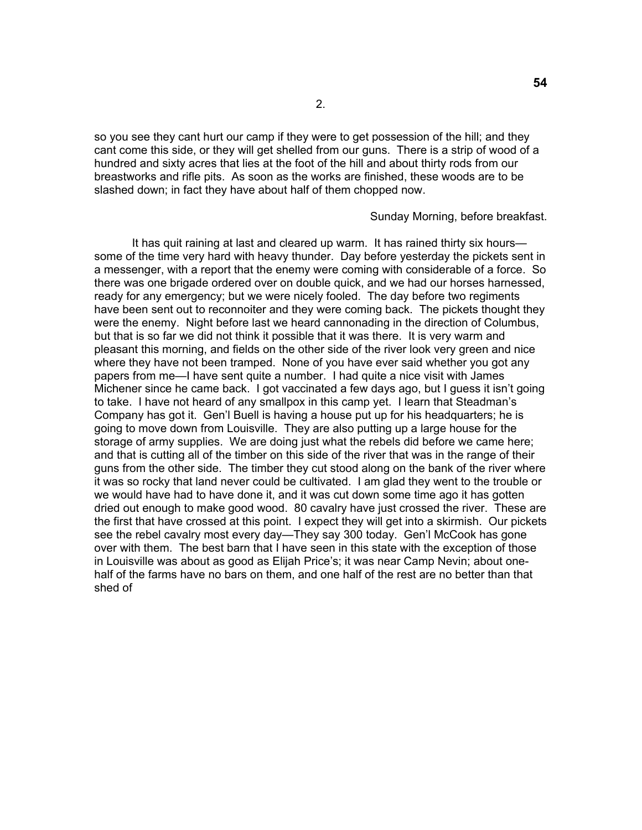so you see they cant hurt our camp if they were to get possession of the hill; and they cant come this side, or they will get shelled from our guns. There is a strip of wood of a hundred and sixty acres that lies at the foot of the hill and about thirty rods from our breastworks and rifle pits. As soon as the works are finished, these woods are to be slashed down; in fact they have about half of them chopped now.

#### Sunday Morning, before breakfast.

 It has quit raining at last and cleared up warm. It has rained thirty six hours some of the time very hard with heavy thunder. Day before yesterday the pickets sent in a messenger, with a report that the enemy were coming with considerable of a force. So there was one brigade ordered over on double quick, and we had our horses harnessed, ready for any emergency; but we were nicely fooled. The day before two regiments have been sent out to reconnoiter and they were coming back. The pickets thought they were the enemy. Night before last we heard cannonading in the direction of Columbus, but that is so far we did not think it possible that it was there. It is very warm and pleasant this morning, and fields on the other side of the river look very green and nice where they have not been tramped. None of you have ever said whether you got any papers from me—I have sent quite a number. I had quite a nice visit with James Michener since he came back. I got vaccinated a few days ago, but I guess it isn't going to take. I have not heard of any smallpox in this camp yet. I learn that Steadman's Company has got it. Gen'l Buell is having a house put up for his headquarters; he is going to move down from Louisville. They are also putting up a large house for the storage of army supplies. We are doing just what the rebels did before we came here; and that is cutting all of the timber on this side of the river that was in the range of their guns from the other side. The timber they cut stood along on the bank of the river where it was so rocky that land never could be cultivated. I am glad they went to the trouble or we would have had to have done it, and it was cut down some time ago it has gotten dried out enough to make good wood. 80 cavalry have just crossed the river. These are the first that have crossed at this point. I expect they will get into a skirmish. Our pickets see the rebel cavalry most every day—They say 300 today. Gen'l McCook has gone over with them. The best barn that I have seen in this state with the exception of those in Louisville was about as good as Elijah Price's; it was near Camp Nevin; about onehalf of the farms have no bars on them, and one half of the rest are no better than that shed of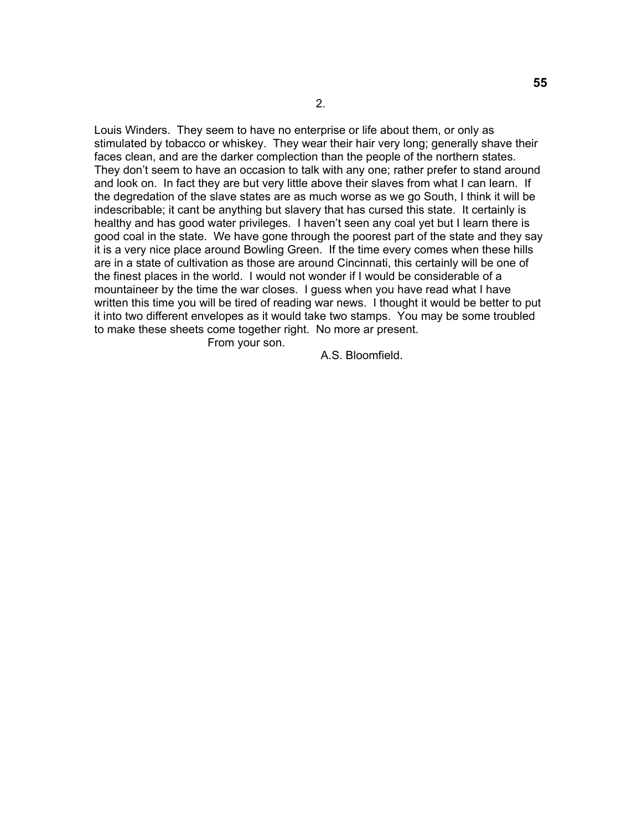Louis Winders. They seem to have no enterprise or life about them, or only as stimulated by tobacco or whiskey. They wear their hair very long; generally shave their faces clean, and are the darker complection than the people of the northern states. They don't seem to have an occasion to talk with any one; rather prefer to stand around and look on. In fact they are but very little above their slaves from what I can learn. If the degredation of the slave states are as much worse as we go South, I think it will be indescribable; it cant be anything but slavery that has cursed this state. It certainly is healthy and has good water privileges. I haven't seen any coal yet but I learn there is good coal in the state. We have gone through the poorest part of the state and they say it is a very nice place around Bowling Green. If the time every comes when these hills are in a state of cultivation as those are around Cincinnati, this certainly will be one of the finest places in the world. I would not wonder if I would be considerable of a mountaineer by the time the war closes. I guess when you have read what I have written this time you will be tired of reading war news. I thought it would be better to put it into two different envelopes as it would take two stamps. You may be some troubled to make these sheets come together right. No more ar present. From your son.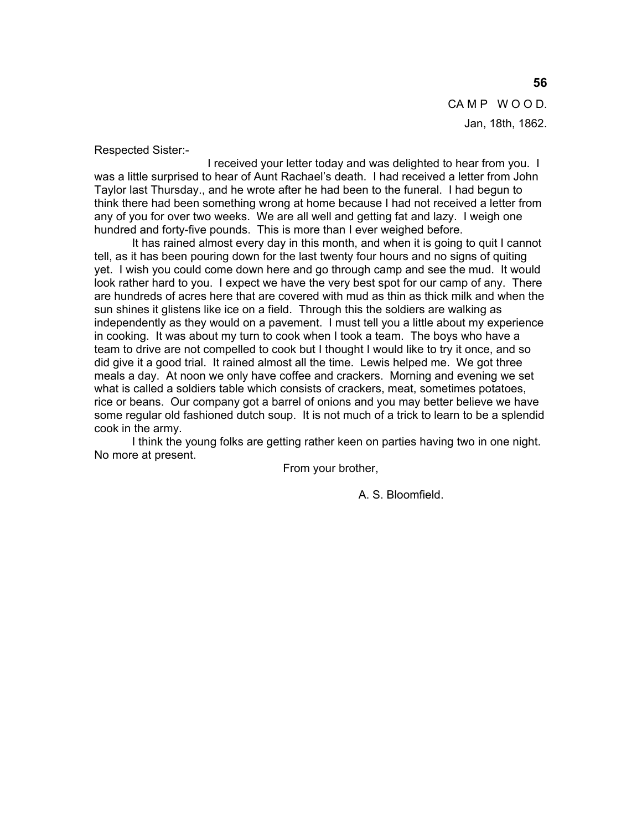CAMP WOOD. Jan, 18th, 1862.

Respected Sister:-

 I received your letter today and was delighted to hear from you. I was a little surprised to hear of Aunt Rachael's death. I had received a letter from John Taylor last Thursday., and he wrote after he had been to the funeral. I had begun to think there had been something wrong at home because I had not received a letter from any of you for over two weeks. We are all well and getting fat and lazy. I weigh one hundred and forty-five pounds. This is more than I ever weighed before.

 It has rained almost every day in this month, and when it is going to quit I cannot tell, as it has been pouring down for the last twenty four hours and no signs of quiting yet. I wish you could come down here and go through camp and see the mud. It would look rather hard to you. I expect we have the very best spot for our camp of any. There are hundreds of acres here that are covered with mud as thin as thick milk and when the sun shines it glistens like ice on a field. Through this the soldiers are walking as independently as they would on a pavement. I must tell you a little about my experience in cooking. It was about my turn to cook when I took a team. The boys who have a team to drive are not compelled to cook but I thought I would like to try it once, and so did give it a good trial. It rained almost all the time. Lewis helped me. We got three meals a day. At noon we only have coffee and crackers. Morning and evening we set what is called a soldiers table which consists of crackers, meat, sometimes potatoes, rice or beans. Our company got a barrel of onions and you may better believe we have some regular old fashioned dutch soup. It is not much of a trick to learn to be a splendid cook in the army.

 I think the young folks are getting rather keen on parties having two in one night. No more at present.

From your brother,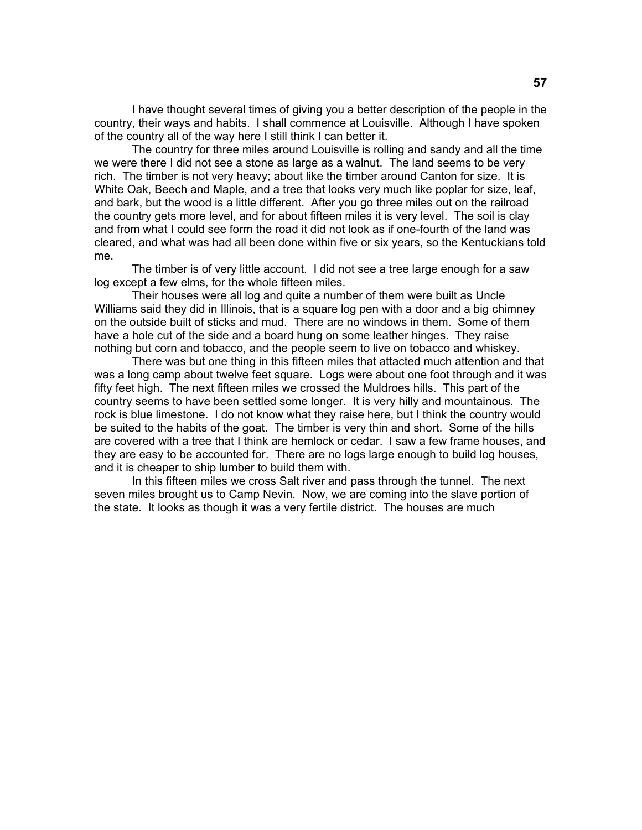I have thought several times of giving you a better description of the people in the country, their ways and habits. I shall commence at Louisville. Although I have spoken of the country all of the way here I still think I can better it.

 The country for three miles around Louisville is rolling and sandy and all the time we were there I did not see a stone as large as a walnut. The land seems to be very rich. The timber is not very heavy; about like the timber around Canton for size. It is White Oak, Beech and Maple, and a tree that looks very much like poplar for size, leaf, and bark, but the wood is a little different. After you go three miles out on the railroad the country gets more level, and for about fifteen miles it is very level. The soil is clay and from what I could see form the road it did not look as if one-fourth of the land was cleared, and what was had all been done within five or six years, so the Kentuckians told me.

 The timber is of very little account. I did not see a tree large enough for a saw log except a few elms, for the whole fifteen miles.

 Their houses were all log and quite a number of them were built as Uncle Williams said they did in Illinois, that is a square log pen with a door and a big chimney on the outside built of sticks and mud. There are no windows in them. Some of them have a hole cut of the side and a board hung on some leather hinges. They raise nothing but corn and tobacco, and the people seem to live on tobacco and whiskey.

 There was but one thing in this fifteen miles that attacted much attention and that was a long camp about twelve feet square. Logs were about one foot through and it was fifty feet high. The next fifteen miles we crossed the Muldroes hills. This part of the country seems to have been settled some longer. It is very hilly and mountainous. The rock is blue limestone. I do not know what they raise here, but I think the country would be suited to the habits of the goat. The timber is very thin and short. Some of the hills are covered with a tree that I think are hemlock or cedar. I saw a few frame houses, and they are easy to be accounted for. There are no logs large enough to build log houses, and it is cheaper to ship lumber to build them with.

 In this fifteen miles we cross Salt river and pass through the tunnel. The next seven miles brought us to Camp Nevin. Now, we are coming into the slave portion of the state. It looks as though it was a very fertile district. The houses are much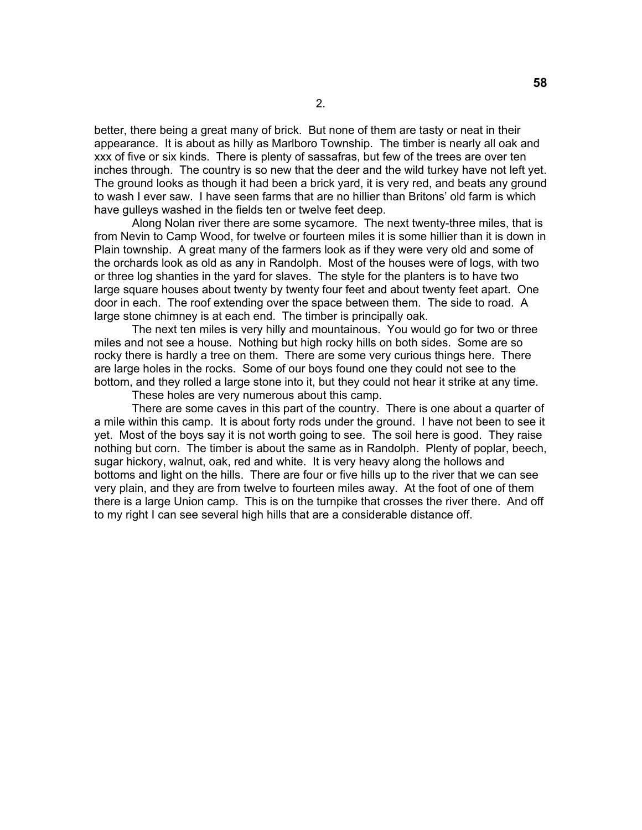better, there being a great many of brick. But none of them are tasty or neat in their appearance. It is about as hilly as Marlboro Township. The timber is nearly all oak and xxx of five or six kinds. There is plenty of sassafras, but few of the trees are over ten inches through. The country is so new that the deer and the wild turkey have not left yet. The ground looks as though it had been a brick yard, it is very red, and beats any ground to wash I ever saw. I have seen farms that are no hillier than Britons' old farm is which have gulleys washed in the fields ten or twelve feet deep.

 Along Nolan river there are some sycamore. The next twenty-three miles, that is from Nevin to Camp Wood, for twelve or fourteen miles it is some hillier than it is down in Plain township. A great many of the farmers look as if they were very old and some of the orchards look as old as any in Randolph. Most of the houses were of logs, with two or three log shanties in the yard for slaves. The style for the planters is to have two large square houses about twenty by twenty four feet and about twenty feet apart. One door in each. The roof extending over the space between them. The side to road. A large stone chimney is at each end. The timber is principally oak.

 The next ten miles is very hilly and mountainous. You would go for two or three miles and not see a house. Nothing but high rocky hills on both sides. Some are so rocky there is hardly a tree on them. There are some very curious things here. There are large holes in the rocks. Some of our boys found one they could not see to the bottom, and they rolled a large stone into it, but they could not hear it strike at any time.

These holes are very numerous about this camp.

 There are some caves in this part of the country. There is one about a quarter of a mile within this camp. It is about forty rods under the ground. I have not been to see it yet. Most of the boys say it is not worth going to see. The soil here is good. They raise nothing but corn. The timber is about the same as in Randolph. Plenty of poplar, beech, sugar hickory, walnut, oak, red and white. It is very heavy along the hollows and bottoms and light on the hills. There are four or five hills up to the river that we can see very plain, and they are from twelve to fourteen miles away. At the foot of one of them there is a large Union camp. This is on the turnpike that crosses the river there. And off to my right I can see several high hills that are a considerable distance off.

**58**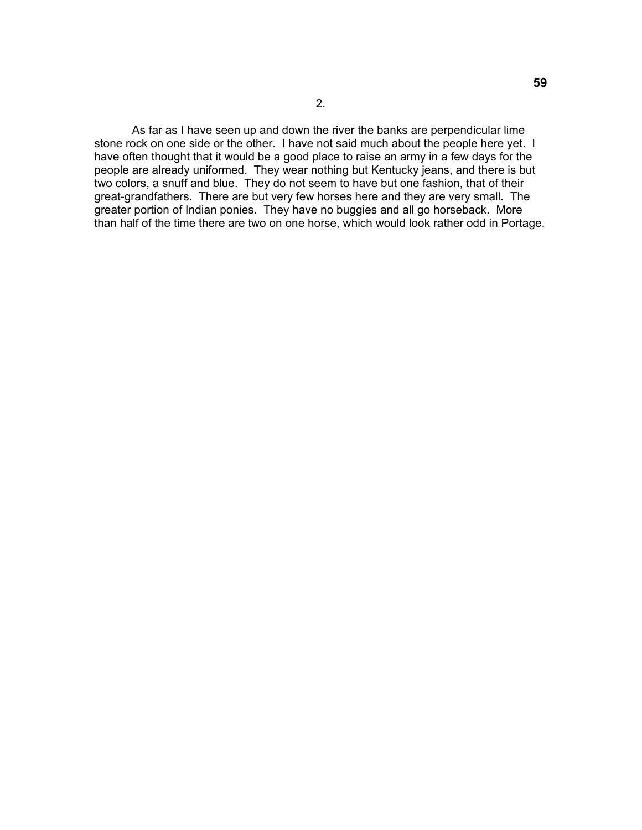As far as I have seen up and down the river the banks are perpendicular lime stone rock on one side or the other. I have not said much about the people here yet. I have often thought that it would be a good place to raise an army in a few days for the people are already uniformed. They wear nothing but Kentucky jeans, and there is but two colors, a snuff and blue. They do not seem to have but one fashion, that of their great-grandfathers. There are but very few horses here and they are very small. The greater portion of Indian ponies. They have no buggies and all go horseback. More than half of the time there are two on one horse, which would look rather odd in Portage.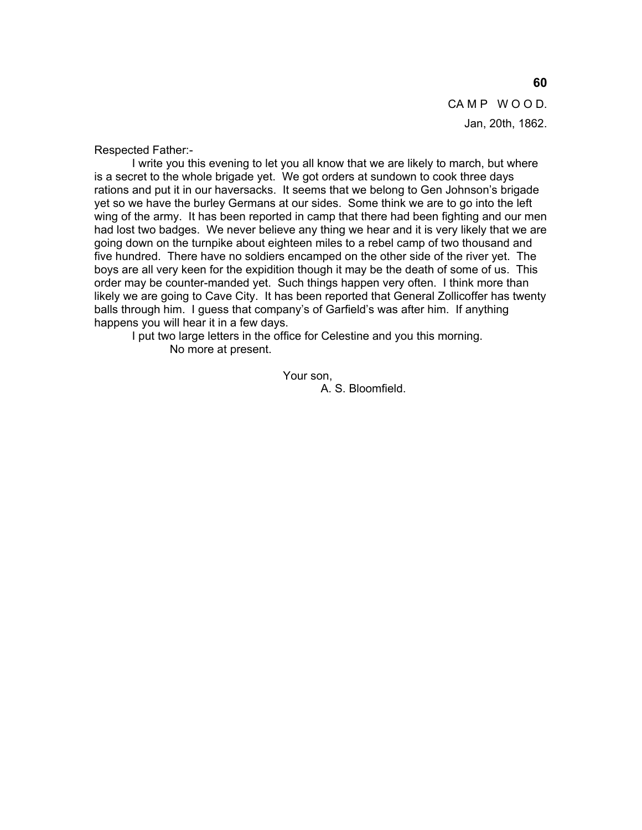CAMP WOOD. Jan, 20th, 1862.

Respected Father:-

 I write you this evening to let you all know that we are likely to march, but where is a secret to the whole brigade yet. We got orders at sundown to cook three days rations and put it in our haversacks. It seems that we belong to Gen Johnson's brigade yet so we have the burley Germans at our sides. Some think we are to go into the left wing of the army. It has been reported in camp that there had been fighting and our men had lost two badges. We never believe any thing we hear and it is very likely that we are going down on the turnpike about eighteen miles to a rebel camp of two thousand and five hundred. There have no soldiers encamped on the other side of the river yet. The boys are all very keen for the expidition though it may be the death of some of us. This order may be counter-manded yet. Such things happen very often. I think more than likely we are going to Cave City. It has been reported that General Zollicoffer has twenty balls through him. I guess that company's of Garfield's was after him. If anything happens you will hear it in a few days.

 I put two large letters in the office for Celestine and you this morning. No more at present.

Your son,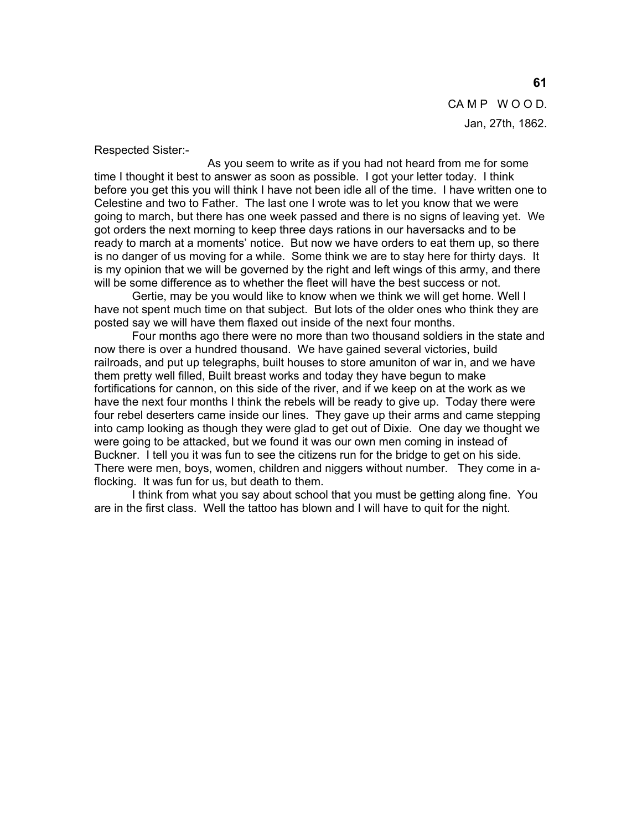CAMP WOOD. Jan, 27th, 1862.

Respected Sister:-

 As you seem to write as if you had not heard from me for some time I thought it best to answer as soon as possible. I got your letter today. I think before you get this you will think I have not been idle all of the time. I have written one to Celestine and two to Father. The last one I wrote was to let you know that we were going to march, but there has one week passed and there is no signs of leaving yet. We got orders the next morning to keep three days rations in our haversacks and to be ready to march at a moments' notice. But now we have orders to eat them up, so there is no danger of us moving for a while. Some think we are to stay here for thirty days. It is my opinion that we will be governed by the right and left wings of this army, and there will be some difference as to whether the fleet will have the best success or not.

 Gertie, may be you would like to know when we think we will get home. Well I have not spent much time on that subject. But lots of the older ones who think they are posted say we will have them flaxed out inside of the next four months.

 Four months ago there were no more than two thousand soldiers in the state and now there is over a hundred thousand. We have gained several victories, build railroads, and put up telegraphs, built houses to store amuniton of war in, and we have them pretty well filled, Built breast works and today they have begun to make fortifications for cannon, on this side of the river, and if we keep on at the work as we have the next four months I think the rebels will be ready to give up. Today there were four rebel deserters came inside our lines. They gave up their arms and came stepping into camp looking as though they were glad to get out of Dixie. One day we thought we were going to be attacked, but we found it was our own men coming in instead of Buckner. I tell you it was fun to see the citizens run for the bridge to get on his side. There were men, boys, women, children and niggers without number. They come in aflocking. It was fun for us, but death to them.

 I think from what you say about school that you must be getting along fine. You are in the first class. Well the tattoo has blown and I will have to quit for the night.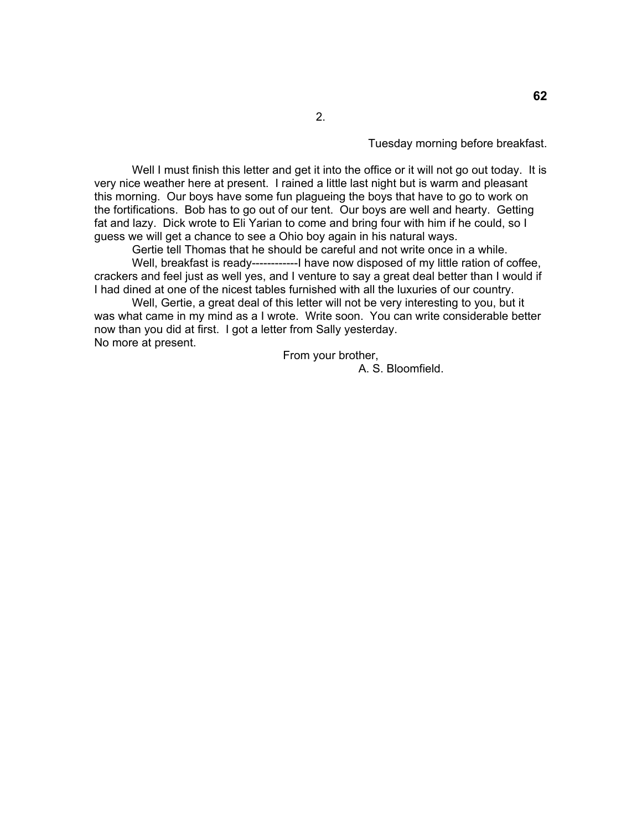Tuesday morning before breakfast.

Well I must finish this letter and get it into the office or it will not go out today. It is very nice weather here at present. I rained a little last night but is warm and pleasant this morning. Our boys have some fun plagueing the boys that have to go to work on the fortifications. Bob has to go out of our tent. Our boys are well and hearty. Getting fat and lazy. Dick wrote to Eli Yarian to come and bring four with him if he could, so I guess we will get a chance to see a Ohio boy again in his natural ways.

2.

 Gertie tell Thomas that he should be careful and not write once in a while. Well, breakfast is ready------------I have now disposed of my little ration of coffee, crackers and feel just as well yes, and I venture to say a great deal better than I would if I had dined at one of the nicest tables furnished with all the luxuries of our country.

 Well, Gertie, a great deal of this letter will not be very interesting to you, but it was what came in my mind as a I wrote. Write soon. You can write considerable better now than you did at first. I got a letter from Sally yesterday. No more at present.

From your brother,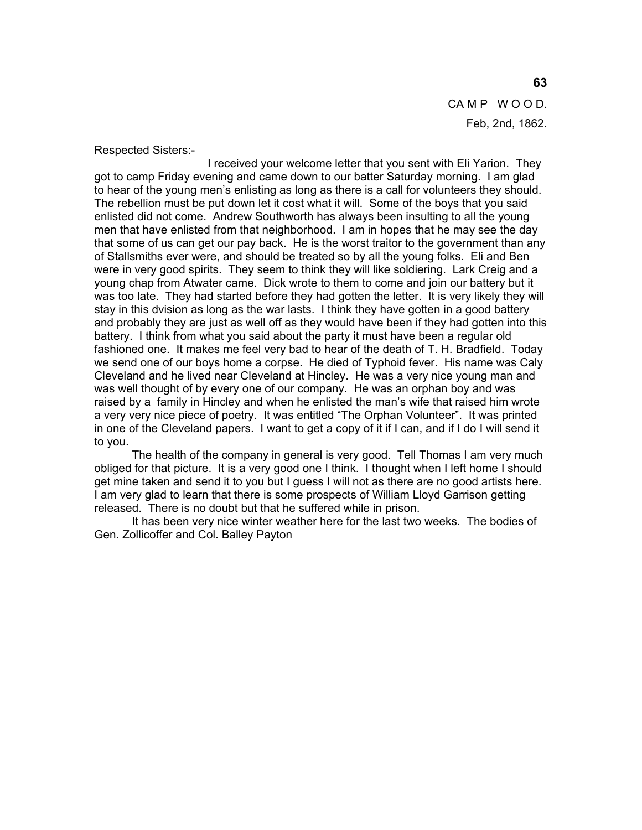CAMP WOOD. Feb, 2nd, 1862.

Respected Sisters:-

 I received your welcome letter that you sent with Eli Yarion. They got to camp Friday evening and came down to our batter Saturday morning. I am glad to hear of the young men's enlisting as long as there is a call for volunteers they should. The rebellion must be put down let it cost what it will. Some of the boys that you said enlisted did not come. Andrew Southworth has always been insulting to all the young men that have enlisted from that neighborhood. I am in hopes that he may see the day that some of us can get our pay back. He is the worst traitor to the government than any of Stallsmiths ever were, and should be treated so by all the young folks. Eli and Ben were in very good spirits. They seem to think they will like soldiering. Lark Creig and a young chap from Atwater came. Dick wrote to them to come and join our battery but it was too late. They had started before they had gotten the letter. It is very likely they will stay in this dvision as long as the war lasts. I think they have gotten in a good battery and probably they are just as well off as they would have been if they had gotten into this battery. I think from what you said about the party it must have been a regular old fashioned one. It makes me feel very bad to hear of the death of T. H. Bradfield. Today we send one of our boys home a corpse. He died of Typhoid fever. His name was Caly Cleveland and he lived near Cleveland at Hincley. He was a very nice young man and was well thought of by every one of our company. He was an orphan boy and was raised by a family in Hincley and when he enlisted the man's wife that raised him wrote a very very nice piece of poetry. It was entitled "The Orphan Volunteer". It was printed in one of the Cleveland papers. I want to get a copy of it if I can, and if I do I will send it to you.

 The health of the company in general is very good. Tell Thomas I am very much obliged for that picture. It is a very good one I think. I thought when I left home I should get mine taken and send it to you but I guess I will not as there are no good artists here. I am very glad to learn that there is some prospects of William Lloyd Garrison getting released. There is no doubt but that he suffered while in prison.

 It has been very nice winter weather here for the last two weeks. The bodies of Gen. Zollicoffer and Col. Balley Payton

#### **63**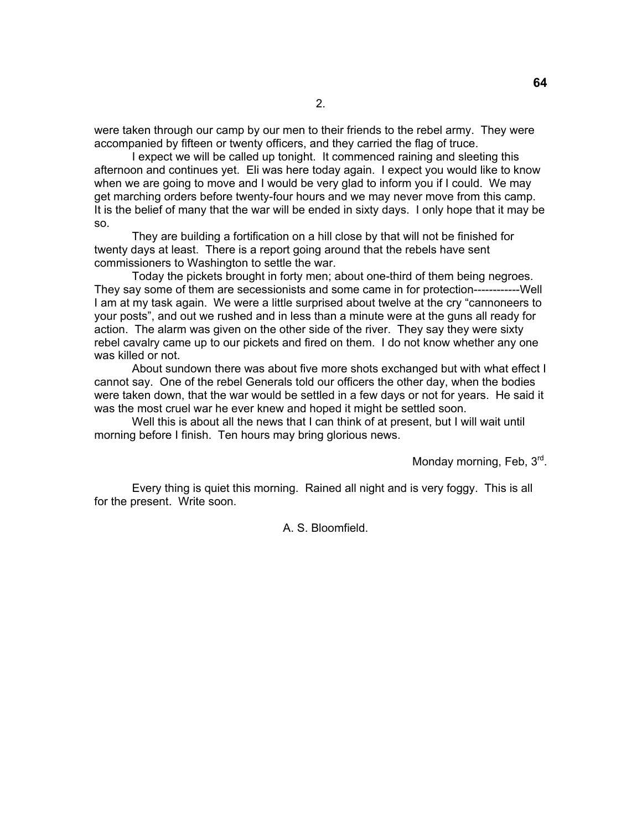were taken through our camp by our men to their friends to the rebel army. They were accompanied by fifteen or twenty officers, and they carried the flag of truce.

 I expect we will be called up tonight. It commenced raining and sleeting this afternoon and continues yet. Eli was here today again. I expect you would like to know when we are going to move and I would be very glad to inform you if I could. We may get marching orders before twenty-four hours and we may never move from this camp. It is the belief of many that the war will be ended in sixty days. I only hope that it may be so.

 They are building a fortification on a hill close by that will not be finished for twenty days at least. There is a report going around that the rebels have sent commissioners to Washington to settle the war.

 Today the pickets brought in forty men; about one-third of them being negroes. They say some of them are secessionists and some came in for protection------------Well I am at my task again. We were a little surprised about twelve at the cry "cannoneers to your posts", and out we rushed and in less than a minute were at the guns all ready for action. The alarm was given on the other side of the river. They say they were sixty rebel cavalry came up to our pickets and fired on them. I do not know whether any one was killed or not.

 About sundown there was about five more shots exchanged but with what effect I cannot say. One of the rebel Generals told our officers the other day, when the bodies were taken down, that the war would be settled in a few days or not for years. He said it was the most cruel war he ever knew and hoped it might be settled soon.

 Well this is about all the news that I can think of at present, but I will wait until morning before I finish. Ten hours may bring glorious news.

Monday morning, Feb, 3<sup>rd</sup>.

**64** 

Every thing is quiet this morning. Rained all night and is very foggy. This is all for the present. Write soon.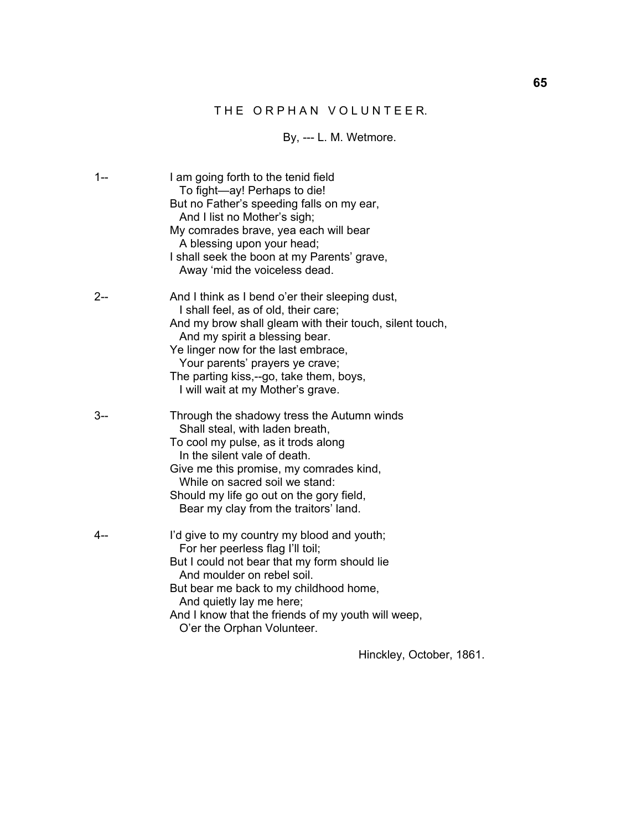## THE ORPHAN VOLUNTEER.

## By, --- L. M. Wetmore.

| $1 -$   | I am going forth to the tenid field<br>To fight-ay! Perhaps to die!<br>But no Father's speeding falls on my ear,<br>And I list no Mother's sigh;<br>My comrades brave, yea each will bear<br>A blessing upon your head;<br>I shall seek the boon at my Parents' grave,<br>Away 'mid the voiceless dead.                                        |
|---------|------------------------------------------------------------------------------------------------------------------------------------------------------------------------------------------------------------------------------------------------------------------------------------------------------------------------------------------------|
| $2-$    | And I think as I bend o'er their sleeping dust,<br>I shall feel, as of old, their care;<br>And my brow shall gleam with their touch, silent touch,<br>And my spirit a blessing bear.<br>Ye linger now for the last embrace,<br>Your parents' prayers ye crave;<br>The parting kiss,--go, take them, boys,<br>I will wait at my Mother's grave. |
| $3 - -$ | Through the shadowy tress the Autumn winds<br>Shall steal, with laden breath,<br>To cool my pulse, as it trods along<br>In the silent vale of death.<br>Give me this promise, my comrades kind,<br>While on sacred soil we stand:<br>Should my life go out on the gory field,<br>Bear my clay from the traitors' land.                         |
| $4 -$   | I'd give to my country my blood and youth;<br>For her peerless flag I'll toil;<br>But I could not bear that my form should lie<br>And moulder on rebel soil.<br>But bear me back to my childhood home,<br>And quietly lay me here;<br>And I know that the friends of my youth will weep,<br>O'er the Orphan Volunteer.                         |

Hinckley, October, 1861.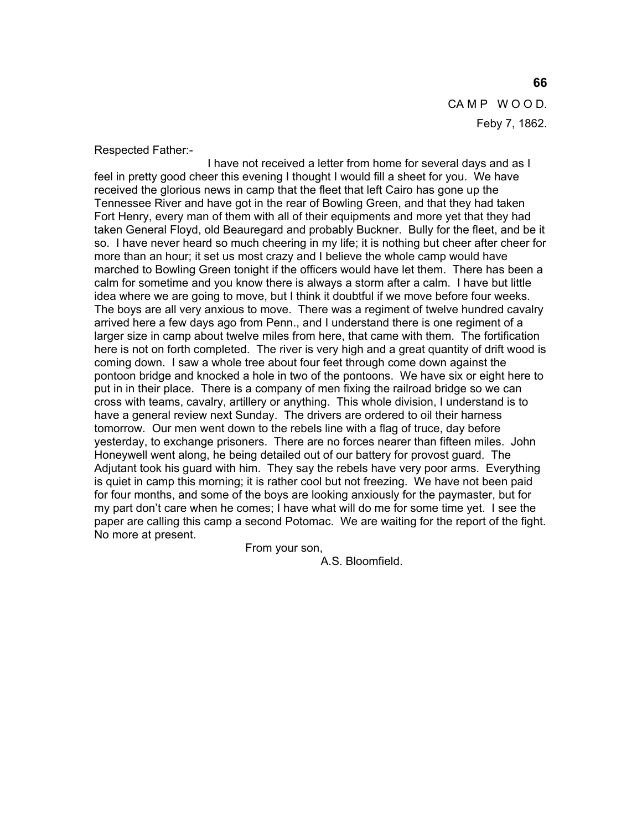CAMP WOOD. Feby 7, 1862.

Respected Father:-

 I have not received a letter from home for several days and as I feel in pretty good cheer this evening I thought I would fill a sheet for you. We have received the glorious news in camp that the fleet that left Cairo has gone up the Tennessee River and have got in the rear of Bowling Green, and that they had taken Fort Henry, every man of them with all of their equipments and more yet that they had taken General Floyd, old Beauregard and probably Buckner. Bully for the fleet, and be it so. I have never heard so much cheering in my life; it is nothing but cheer after cheer for more than an hour; it set us most crazy and I believe the whole camp would have marched to Bowling Green tonight if the officers would have let them. There has been a calm for sometime and you know there is always a storm after a calm. I have but little idea where we are going to move, but I think it doubtful if we move before four weeks. The boys are all very anxious to move. There was a regiment of twelve hundred cavalry arrived here a few days ago from Penn., and I understand there is one regiment of a larger size in camp about twelve miles from here, that came with them. The fortification here is not on forth completed. The river is very high and a great quantity of drift wood is coming down. I saw a whole tree about four feet through come down against the pontoon bridge and knocked a hole in two of the pontoons. We have six or eight here to put in in their place. There is a company of men fixing the railroad bridge so we can cross with teams, cavalry, artillery or anything. This whole division, I understand is to have a general review next Sunday. The drivers are ordered to oil their harness tomorrow. Our men went down to the rebels line with a flag of truce, day before yesterday, to exchange prisoners. There are no forces nearer than fifteen miles. John Honeywell went along, he being detailed out of our battery for provost guard. The Adjutant took his guard with him. They say the rebels have very poor arms. Everything is quiet in camp this morning; it is rather cool but not freezing. We have not been paid for four months, and some of the boys are looking anxiously for the paymaster, but for my part don't care when he comes; I have what will do me for some time yet. I see the paper are calling this camp a second Potomac. We are waiting for the report of the fight. No more at present.

From your son,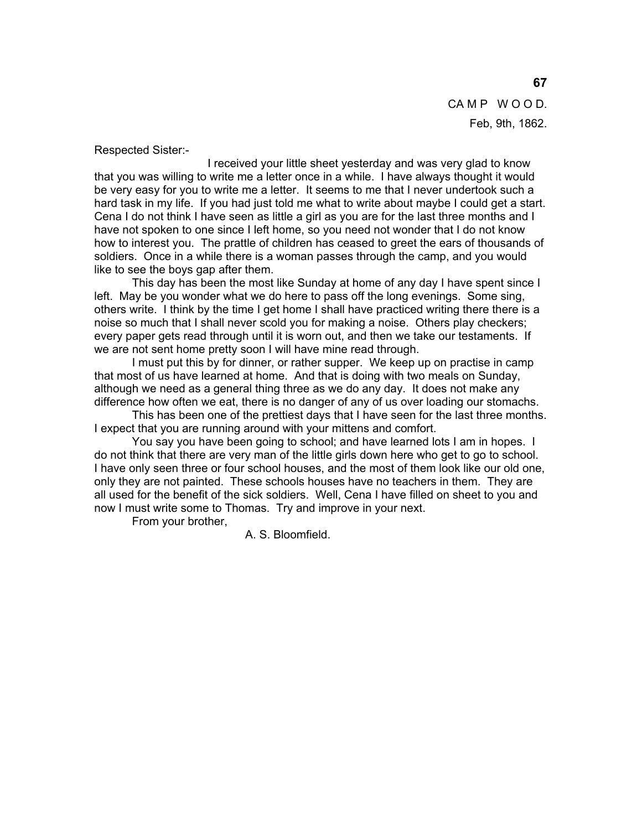CAMP WOOD. Feb, 9th, 1862.

Respected Sister:-

 I received your little sheet yesterday and was very glad to know that you was willing to write me a letter once in a while. I have always thought it would be very easy for you to write me a letter. It seems to me that I never undertook such a hard task in my life. If you had just told me what to write about maybe I could get a start. Cena I do not think I have seen as little a girl as you are for the last three months and I have not spoken to one since I left home, so you need not wonder that I do not know how to interest you. The prattle of children has ceased to greet the ears of thousands of soldiers. Once in a while there is a woman passes through the camp, and you would like to see the boys gap after them.

 This day has been the most like Sunday at home of any day I have spent since I left. May be you wonder what we do here to pass off the long evenings. Some sing, others write. I think by the time I get home I shall have practiced writing there there is a noise so much that I shall never scold you for making a noise. Others play checkers; every paper gets read through until it is worn out, and then we take our testaments. If we are not sent home pretty soon I will have mine read through.

 I must put this by for dinner, or rather supper. We keep up on practise in camp that most of us have learned at home. And that is doing with two meals on Sunday, although we need as a general thing three as we do any day. It does not make any difference how often we eat, there is no danger of any of us over loading our stomachs.

 This has been one of the prettiest days that I have seen for the last three months. I expect that you are running around with your mittens and comfort.

 You say you have been going to school; and have learned lots I am in hopes. I do not think that there are very man of the little girls down here who get to go to school. I have only seen three or four school houses, and the most of them look like our old one, only they are not painted. These schools houses have no teachers in them. They are all used for the benefit of the sick soldiers. Well, Cena I have filled on sheet to you and now I must write some to Thomas. Try and improve in your next.

From your brother,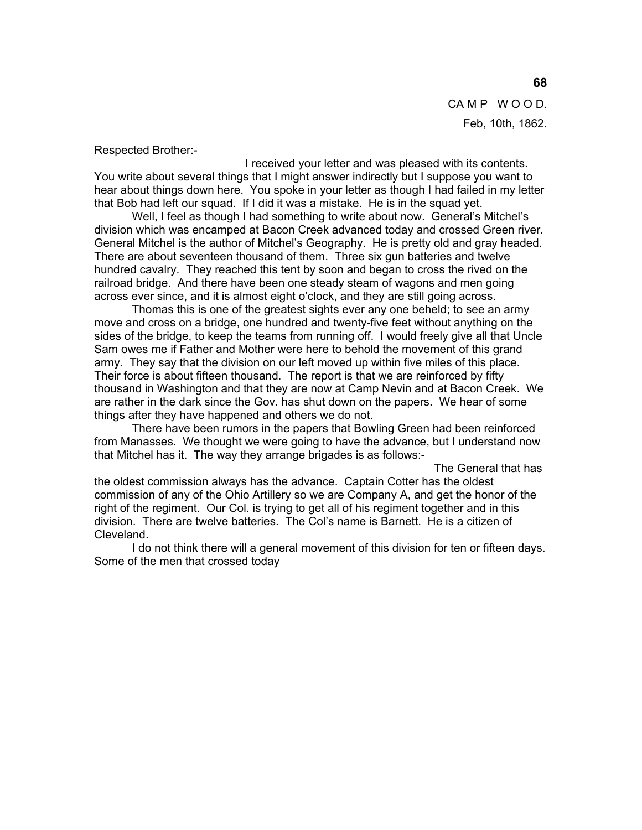CAMP WOOD. Feb, 10th, 1862.

Respected Brother:-

 I received your letter and was pleased with its contents. You write about several things that I might answer indirectly but I suppose you want to hear about things down here. You spoke in your letter as though I had failed in my letter that Bob had left our squad. If I did it was a mistake. He is in the squad yet.

 Well, I feel as though I had something to write about now. General's Mitchel's division which was encamped at Bacon Creek advanced today and crossed Green river. General Mitchel is the author of Mitchel's Geography. He is pretty old and gray headed. There are about seventeen thousand of them. Three six gun batteries and twelve hundred cavalry. They reached this tent by soon and began to cross the rived on the railroad bridge. And there have been one steady steam of wagons and men going across ever since, and it is almost eight o'clock, and they are still going across.

 Thomas this is one of the greatest sights ever any one beheld; to see an army move and cross on a bridge, one hundred and twenty-five feet without anything on the sides of the bridge, to keep the teams from running off. I would freely give all that Uncle Sam owes me if Father and Mother were here to behold the movement of this grand army. They say that the division on our left moved up within five miles of this place. Their force is about fifteen thousand. The report is that we are reinforced by fifty thousand in Washington and that they are now at Camp Nevin and at Bacon Creek. We are rather in the dark since the Gov. has shut down on the papers. We hear of some things after they have happened and others we do not.

 There have been rumors in the papers that Bowling Green had been reinforced from Manasses. We thought we were going to have the advance, but I understand now that Mitchel has it. The way they arrange brigades is as follows:-

 The General that has the oldest commission always has the advance. Captain Cotter has the oldest commission of any of the Ohio Artillery so we are Company A, and get the honor of the right of the regiment. Our Col. is trying to get all of his regiment together and in this division. There are twelve batteries. The Col's name is Barnett. He is a citizen of Cleveland.

 I do not think there will a general movement of this division for ten or fifteen days. Some of the men that crossed today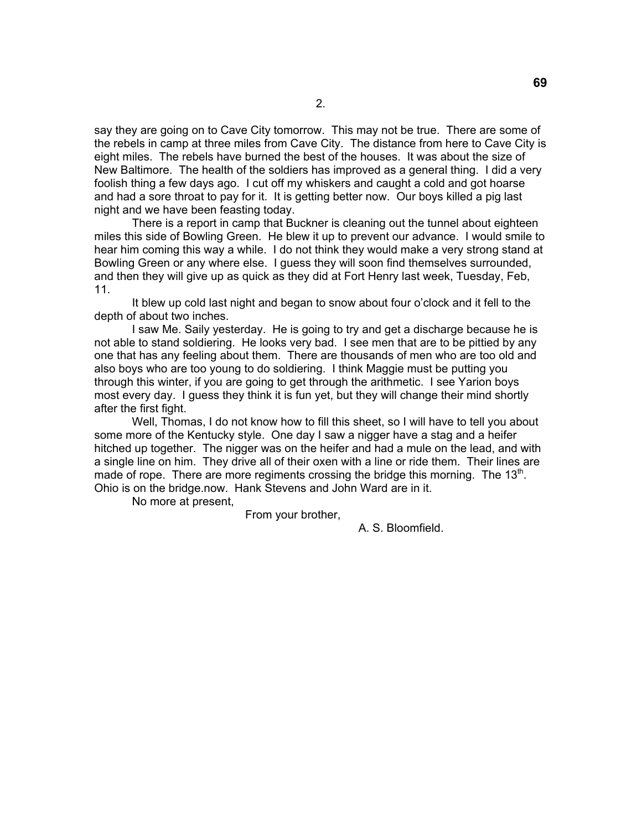say they are going on to Cave City tomorrow. This may not be true. There are some of the rebels in camp at three miles from Cave City. The distance from here to Cave City is eight miles. The rebels have burned the best of the houses. It was about the size of New Baltimore. The health of the soldiers has improved as a general thing. I did a very foolish thing a few days ago. I cut off my whiskers and caught a cold and got hoarse and had a sore throat to pay for it. It is getting better now. Our boys killed a pig last night and we have been feasting today.

 There is a report in camp that Buckner is cleaning out the tunnel about eighteen miles this side of Bowling Green. He blew it up to prevent our advance. I would smile to hear him coming this way a while. I do not think they would make a very strong stand at Bowling Green or any where else. I guess they will soon find themselves surrounded, and then they will give up as quick as they did at Fort Henry last week, Tuesday, Feb, 11.

 It blew up cold last night and began to snow about four o'clock and it fell to the depth of about two inches.

 I saw Me. Saily yesterday. He is going to try and get a discharge because he is not able to stand soldiering. He looks very bad. I see men that are to be pittied by any one that has any feeling about them. There are thousands of men who are too old and also boys who are too young to do soldiering. I think Maggie must be putting you through this winter, if you are going to get through the arithmetic. I see Yarion boys most every day. I guess they think it is fun yet, but they will change their mind shortly after the first fight.

 Well, Thomas, I do not know how to fill this sheet, so I will have to tell you about some more of the Kentucky style. One day I saw a nigger have a stag and a heifer hitched up together. The nigger was on the heifer and had a mule on the lead, and with a single line on him. They drive all of their oxen with a line or ride them. Their lines are made of rope. There are more regiments crossing the bridge this morning. The  $13<sup>th</sup>$ . Ohio is on the bridge.now. Hank Stevens and John Ward are in it.

No more at present,

From your brother,

A. S. Bloomfield.

**69**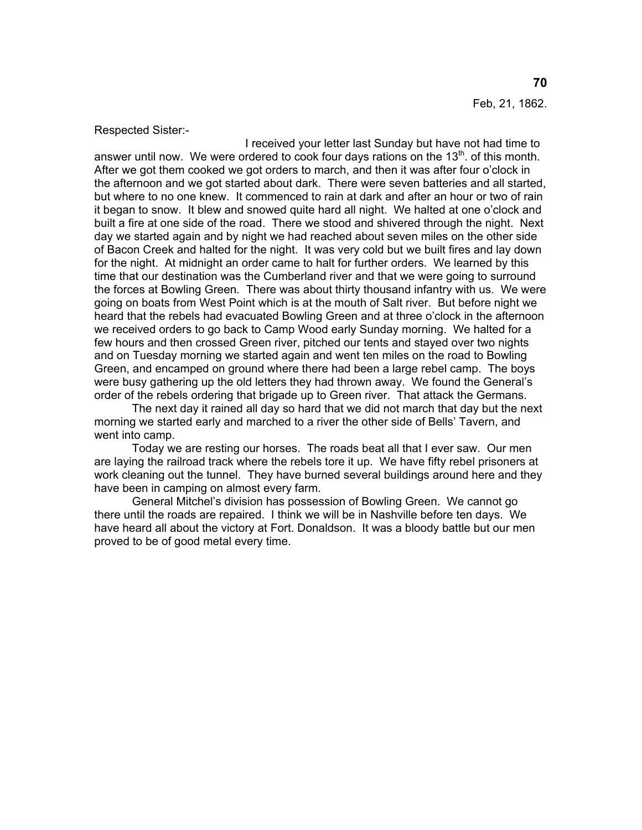Feb, 21, 1862.

Respected Sister:-

 I received your letter last Sunday but have not had time to answer until now. We were ordered to cook four days rations on the  $13<sup>th</sup>$  of this month. After we got them cooked we got orders to march, and then it was after four o'clock in the afternoon and we got started about dark. There were seven batteries and all started, but where to no one knew. It commenced to rain at dark and after an hour or two of rain it began to snow. It blew and snowed quite hard all night. We halted at one o'clock and built a fire at one side of the road. There we stood and shivered through the night. Next day we started again and by night we had reached about seven miles on the other side of Bacon Creek and halted for the night. It was very cold but we built fires and lay down for the night. At midnight an order came to halt for further orders. We learned by this time that our destination was the Cumberland river and that we were going to surround the forces at Bowling Green. There was about thirty thousand infantry with us. We were going on boats from West Point which is at the mouth of Salt river. But before night we heard that the rebels had evacuated Bowling Green and at three o'clock in the afternoon we received orders to go back to Camp Wood early Sunday morning. We halted for a few hours and then crossed Green river, pitched our tents and stayed over two nights and on Tuesday morning we started again and went ten miles on the road to Bowling Green, and encamped on ground where there had been a large rebel camp. The boys were busy gathering up the old letters they had thrown away. We found the General's order of the rebels ordering that brigade up to Green river. That attack the Germans.

 The next day it rained all day so hard that we did not march that day but the next morning we started early and marched to a river the other side of Bells' Tavern, and went into camp.

 Today we are resting our horses. The roads beat all that I ever saw. Our men are laying the railroad track where the rebels tore it up. We have fifty rebel prisoners at work cleaning out the tunnel. They have burned several buildings around here and they have been in camping on almost every farm.

 General Mitchel's division has possession of Bowling Green. We cannot go there until the roads are repaired. I think we will be in Nashville before ten days. We have heard all about the victory at Fort. Donaldson. It was a bloody battle but our men proved to be of good metal every time.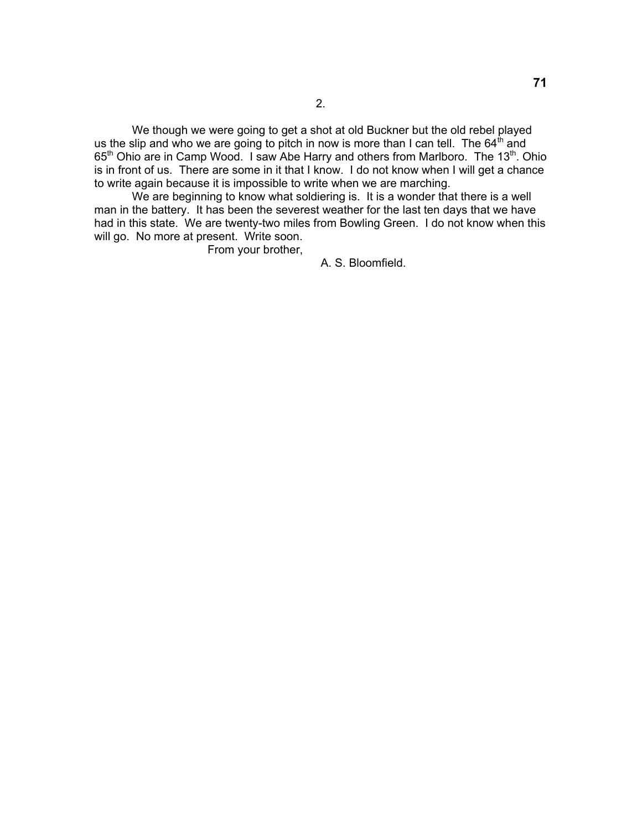We though we were going to get a shot at old Buckner but the old rebel played us the slip and who we are going to pitch in now is more than I can tell. The  $64<sup>th</sup>$  and 65<sup>th</sup> Ohio are in Camp Wood. I saw Abe Harry and others from Marlboro. The 13<sup>th</sup>. Ohio is in front of us. There are some in it that I know. I do not know when I will get a chance to write again because it is impossible to write when we are marching.

We are beginning to know what soldiering is. It is a wonder that there is a well man in the battery. It has been the severest weather for the last ten days that we have had in this state. We are twenty-two miles from Bowling Green. I do not know when this will go. No more at present. Write soon.

From your brother,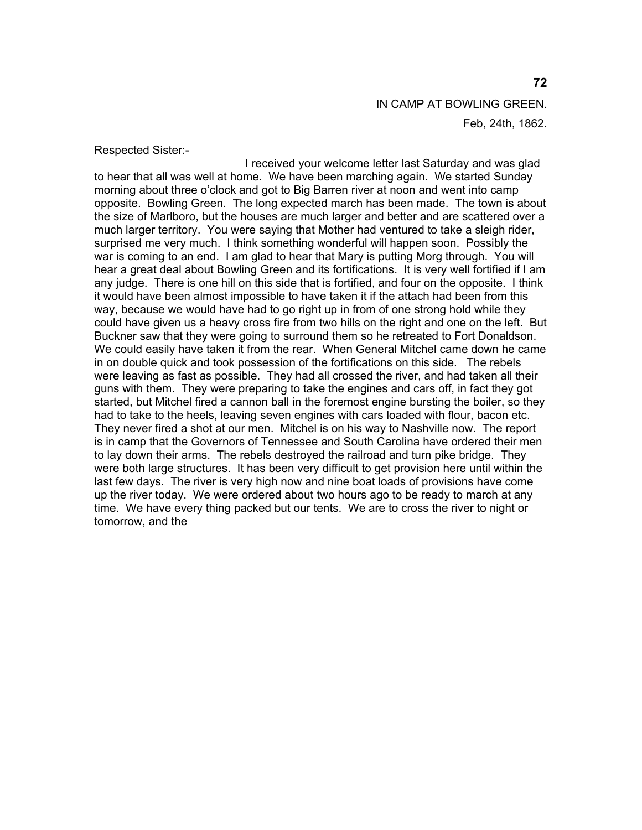IN CAMP AT BOWLING GREEN. Feb, 24th, 1862.

Respected Sister:-

 I received your welcome letter last Saturday and was glad to hear that all was well at home. We have been marching again. We started Sunday morning about three o'clock and got to Big Barren river at noon and went into camp opposite. Bowling Green. The long expected march has been made. The town is about the size of Marlboro, but the houses are much larger and better and are scattered over a much larger territory. You were saying that Mother had ventured to take a sleigh rider, surprised me very much. I think something wonderful will happen soon. Possibly the war is coming to an end. I am glad to hear that Mary is putting Morg through. You will hear a great deal about Bowling Green and its fortifications. It is very well fortified if I am any judge. There is one hill on this side that is fortified, and four on the opposite. I think it would have been almost impossible to have taken it if the attach had been from this way, because we would have had to go right up in from of one strong hold while they could have given us a heavy cross fire from two hills on the right and one on the left. But Buckner saw that they were going to surround them so he retreated to Fort Donaldson. We could easily have taken it from the rear. When General Mitchel came down he came in on double quick and took possession of the fortifications on this side. The rebels were leaving as fast as possible. They had all crossed the river, and had taken all their guns with them. They were preparing to take the engines and cars off, in fact they got started, but Mitchel fired a cannon ball in the foremost engine bursting the boiler, so they had to take to the heels, leaving seven engines with cars loaded with flour, bacon etc. They never fired a shot at our men. Mitchel is on his way to Nashville now. The report is in camp that the Governors of Tennessee and South Carolina have ordered their men to lay down their arms. The rebels destroyed the railroad and turn pike bridge. They were both large structures. It has been very difficult to get provision here until within the last few days. The river is very high now and nine boat loads of provisions have come up the river today. We were ordered about two hours ago to be ready to march at any time. We have every thing packed but our tents. We are to cross the river to night or tomorrow, and the

### **72**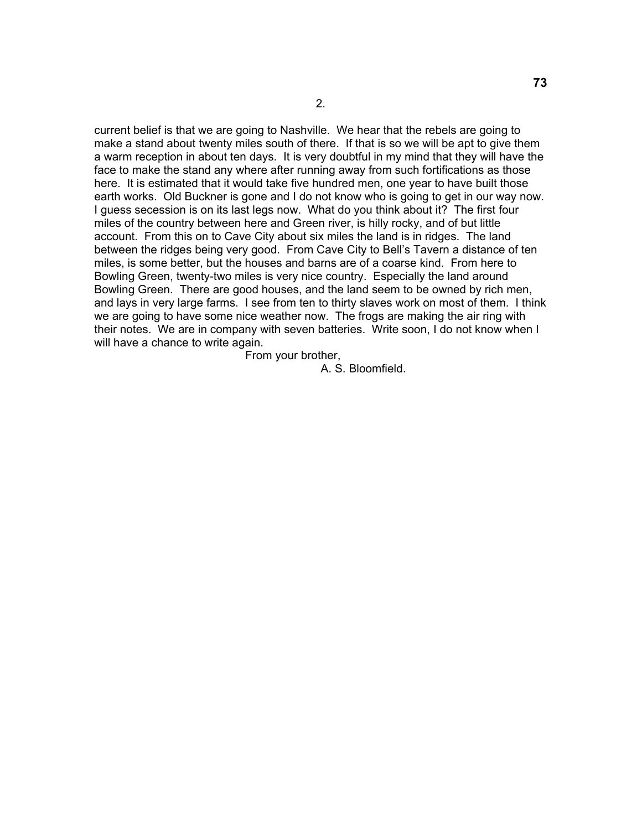current belief is that we are going to Nashville. We hear that the rebels are going to make a stand about twenty miles south of there. If that is so we will be apt to give them a warm reception in about ten days. It is very doubtful in my mind that they will have the face to make the stand any where after running away from such fortifications as those here. It is estimated that it would take five hundred men, one year to have built those earth works. Old Buckner is gone and I do not know who is going to get in our way now. I guess secession is on its last legs now. What do you think about it? The first four miles of the country between here and Green river, is hilly rocky, and of but little account. From this on to Cave City about six miles the land is in ridges. The land between the ridges being very good. From Cave City to Bell's Tavern a distance of ten miles, is some better, but the houses and barns are of a coarse kind. From here to Bowling Green, twenty-two miles is very nice country. Especially the land around Bowling Green. There are good houses, and the land seem to be owned by rich men, and lays in very large farms. I see from ten to thirty slaves work on most of them. I think we are going to have some nice weather now. The frogs are making the air ring with their notes. We are in company with seven batteries. Write soon, I do not know when I will have a chance to write again.

From your brother,

A. S. Bloomfield.

2.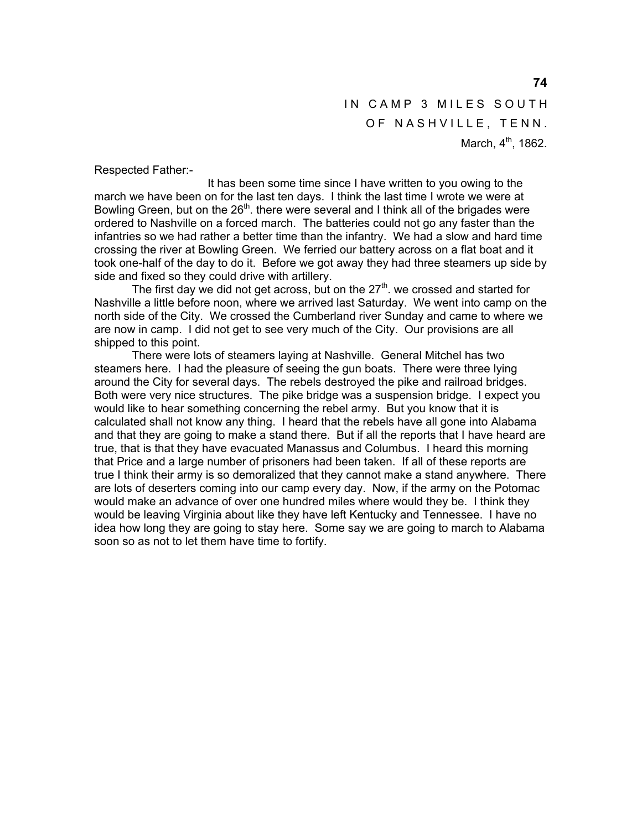IN CAMP 3 MILES SOUTH OF NASHVILLE, TENN. March,  $4^{th}$ , 1862.

Respected Father:-

 It has been some time since I have written to you owing to the march we have been on for the last ten days. I think the last time I wrote we were at Bowling Green, but on the  $26<sup>th</sup>$ . there were several and I think all of the brigades were ordered to Nashville on a forced march. The batteries could not go any faster than the infantries so we had rather a better time than the infantry. We had a slow and hard time crossing the river at Bowling Green. We ferried our battery across on a flat boat and it took one-half of the day to do it. Before we got away they had three steamers up side by side and fixed so they could drive with artillery.

The first day we did not get across, but on the  $27<sup>th</sup>$ , we crossed and started for Nashville a little before noon, where we arrived last Saturday. We went into camp on the north side of the City. We crossed the Cumberland river Sunday and came to where we are now in camp. I did not get to see very much of the City. Our provisions are all shipped to this point.

 There were lots of steamers laying at Nashville. General Mitchel has two steamers here. I had the pleasure of seeing the gun boats. There were three lying around the City for several days. The rebels destroyed the pike and railroad bridges. Both were very nice structures. The pike bridge was a suspension bridge. I expect you would like to hear something concerning the rebel army. But you know that it is calculated shall not know any thing. I heard that the rebels have all gone into Alabama and that they are going to make a stand there. But if all the reports that I have heard are true, that is that they have evacuated Manassus and Columbus. I heard this morning that Price and a large number of prisoners had been taken. If all of these reports are true I think their army is so demoralized that they cannot make a stand anywhere. There are lots of deserters coming into our camp every day. Now, if the army on the Potomac would make an advance of over one hundred miles where would they be. I think they would be leaving Virginia about like they have left Kentucky and Tennessee. I have no idea how long they are going to stay here. Some say we are going to march to Alabama soon so as not to let them have time to fortify.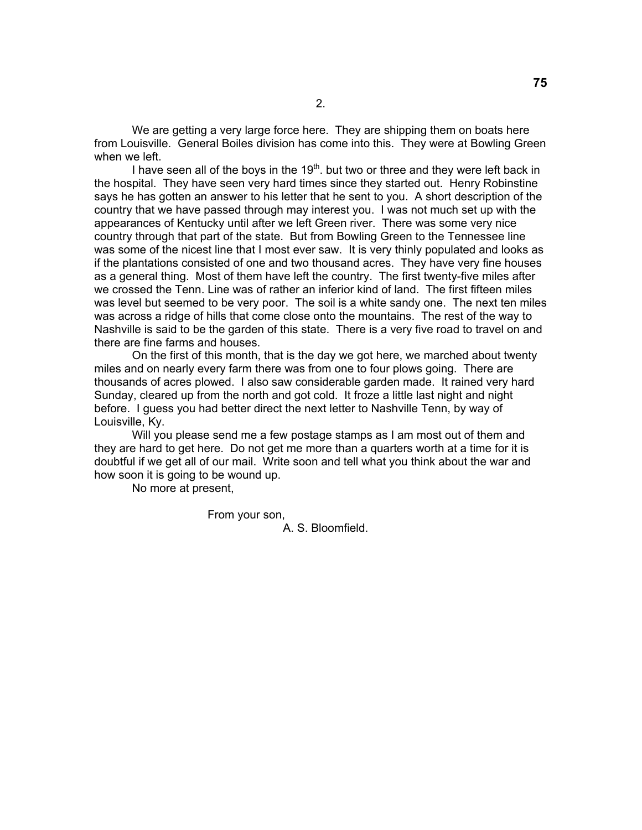We are getting a very large force here. They are shipping them on boats here from Louisville. General Boiles division has come into this. They were at Bowling Green when we left.

I have seen all of the boys in the  $19<sup>th</sup>$ . but two or three and they were left back in the hospital. They have seen very hard times since they started out. Henry Robinstine says he has gotten an answer to his letter that he sent to you. A short description of the country that we have passed through may interest you. I was not much set up with the appearances of Kentucky until after we left Green river. There was some very nice country through that part of the state. But from Bowling Green to the Tennessee line was some of the nicest line that I most ever saw. It is very thinly populated and looks as if the plantations consisted of one and two thousand acres. They have very fine houses as a general thing. Most of them have left the country. The first twenty-five miles after we crossed the Tenn. Line was of rather an inferior kind of land. The first fifteen miles was level but seemed to be very poor. The soil is a white sandy one. The next ten miles was across a ridge of hills that come close onto the mountains. The rest of the way to Nashville is said to be the garden of this state. There is a very five road to travel on and there are fine farms and houses.

 On the first of this month, that is the day we got here, we marched about twenty miles and on nearly every farm there was from one to four plows going. There are thousands of acres plowed. I also saw considerable garden made. It rained very hard Sunday, cleared up from the north and got cold. It froze a little last night and night before. I guess you had better direct the next letter to Nashville Tenn, by way of Louisville, Ky.

Will you please send me a few postage stamps as I am most out of them and they are hard to get here. Do not get me more than a quarters worth at a time for it is doubtful if we get all of our mail. Write soon and tell what you think about the war and how soon it is going to be wound up.

No more at present,

From your son,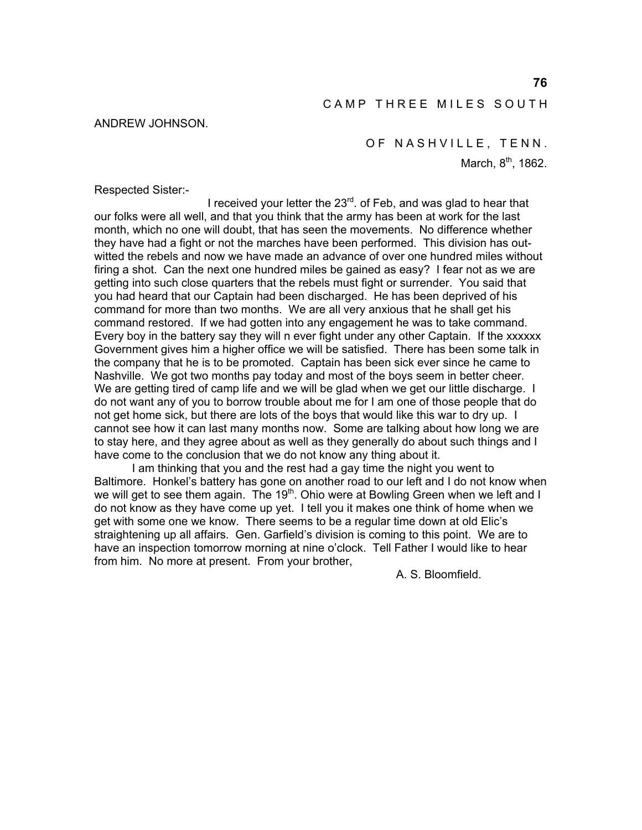### CAMP THREE MILES SOUTH

#### ANDREW JOHNSON.

OF NASHVILLE, TENN.

March,  $8<sup>th</sup>$ , 1862.

Respected Sister:-

I received your letter the  $23<sup>rd</sup>$ . of Feb, and was glad to hear that our folks were all well, and that you think that the army has been at work for the last month, which no one will doubt, that has seen the movements. No difference whether they have had a fight or not the marches have been performed. This division has outwitted the rebels and now we have made an advance of over one hundred miles without firing a shot. Can the next one hundred miles be gained as easy? I fear not as we are getting into such close quarters that the rebels must fight or surrender. You said that you had heard that our Captain had been discharged. He has been deprived of his command for more than two months. We are all very anxious that he shall get his command restored. If we had gotten into any engagement he was to take command. Every boy in the battery say they will n ever fight under any other Captain. If the xxxxxx Government gives him a higher office we will be satisfied. There has been some talk in the company that he is to be promoted. Captain has been sick ever since he came to Nashville. We got two months pay today and most of the boys seem in better cheer. We are getting tired of camp life and we will be glad when we get our little discharge. I do not want any of you to borrow trouble about me for I am one of those people that do not get home sick, but there are lots of the boys that would like this war to dry up. I cannot see how it can last many months now. Some are talking about how long we are to stay here, and they agree about as well as they generally do about such things and I have come to the conclusion that we do not know any thing about it.

 I am thinking that you and the rest had a gay time the night you went to Baltimore. Honkel's battery has gone on another road to our left and I do not know when we will get to see them again. The 19<sup>th</sup>. Ohio were at Bowling Green when we left and I do not know as they have come up yet. I tell you it makes one think of home when we get with some one we know. There seems to be a regular time down at old Elic's straightening up all affairs. Gen. Garfield's division is coming to this point. We are to have an inspection tomorrow morning at nine o'clock. Tell Father I would like to hear from him. No more at present. From your brother,

A. S. Bloomfield.

**76**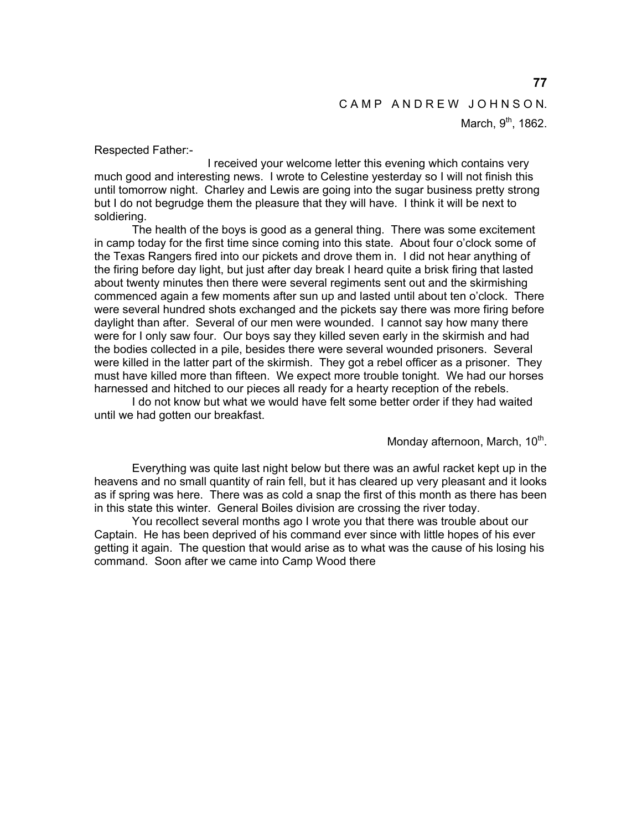# CAMP ANDREW JOHNSON.

March,  $9<sup>th</sup>$ , 1862.

Respected Father:-

 I received your welcome letter this evening which contains very much good and interesting news. I wrote to Celestine yesterday so I will not finish this until tomorrow night. Charley and Lewis are going into the sugar business pretty strong but I do not begrudge them the pleasure that they will have. I think it will be next to soldiering.

 The health of the boys is good as a general thing. There was some excitement in camp today for the first time since coming into this state. About four o'clock some of the Texas Rangers fired into our pickets and drove them in. I did not hear anything of the firing before day light, but just after day break I heard quite a brisk firing that lasted about twenty minutes then there were several regiments sent out and the skirmishing commenced again a few moments after sun up and lasted until about ten o'clock. There were several hundred shots exchanged and the pickets say there was more firing before daylight than after. Several of our men were wounded. I cannot say how many there were for I only saw four. Our boys say they killed seven early in the skirmish and had the bodies collected in a pile, besides there were several wounded prisoners. Several were killed in the latter part of the skirmish. They got a rebel officer as a prisoner. They must have killed more than fifteen. We expect more trouble tonight. We had our horses harnessed and hitched to our pieces all ready for a hearty reception of the rebels.

 I do not know but what we would have felt some better order if they had waited until we had gotten our breakfast.

Monday afternoon, March,  $10<sup>th</sup>$ .

 Everything was quite last night below but there was an awful racket kept up in the heavens and no small quantity of rain fell, but it has cleared up very pleasant and it looks as if spring was here. There was as cold a snap the first of this month as there has been in this state this winter. General Boiles division are crossing the river today.

 You recollect several months ago I wrote you that there was trouble about our Captain. He has been deprived of his command ever since with little hopes of his ever getting it again. The question that would arise as to what was the cause of his losing his command. Soon after we came into Camp Wood there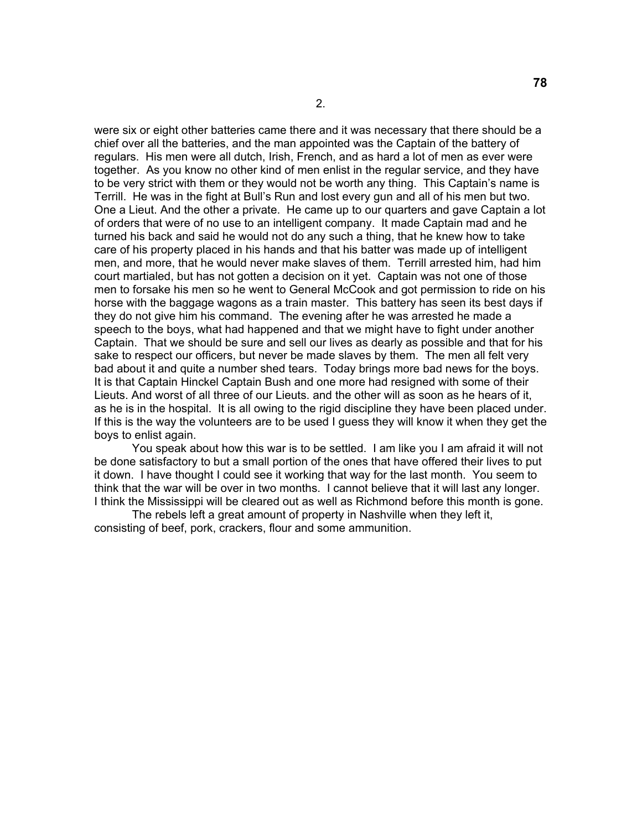were six or eight other batteries came there and it was necessary that there should be a chief over all the batteries, and the man appointed was the Captain of the battery of regulars. His men were all dutch, Irish, French, and as hard a lot of men as ever were together. As you know no other kind of men enlist in the regular service, and they have to be very strict with them or they would not be worth any thing. This Captain's name is Terrill. He was in the fight at Bull's Run and lost every gun and all of his men but two. One a Lieut. And the other a private. He came up to our quarters and gave Captain a lot of orders that were of no use to an intelligent company. It made Captain mad and he turned his back and said he would not do any such a thing, that he knew how to take care of his property placed in his hands and that his batter was made up of intelligent men, and more, that he would never make slaves of them. Terrill arrested him, had him court martialed, but has not gotten a decision on it yet. Captain was not one of those men to forsake his men so he went to General McCook and got permission to ride on his horse with the baggage wagons as a train master. This battery has seen its best days if they do not give him his command. The evening after he was arrested he made a speech to the boys, what had happened and that we might have to fight under another Captain. That we should be sure and sell our lives as dearly as possible and that for his sake to respect our officers, but never be made slaves by them. The men all felt very bad about it and quite a number shed tears. Today brings more bad news for the boys. It is that Captain Hinckel Captain Bush and one more had resigned with some of their Lieuts. And worst of all three of our Lieuts. and the other will as soon as he hears of it, as he is in the hospital. It is all owing to the rigid discipline they have been placed under. If this is the way the volunteers are to be used I guess they will know it when they get the boys to enlist again.

 You speak about how this war is to be settled. I am like you I am afraid it will not be done satisfactory to but a small portion of the ones that have offered their lives to put it down. I have thought I could see it working that way for the last month. You seem to think that the war will be over in two months. I cannot believe that it will last any longer. I think the Mississippi will be cleared out as well as Richmond before this month is gone.

 The rebels left a great amount of property in Nashville when they left it, consisting of beef, pork, crackers, flour and some ammunition.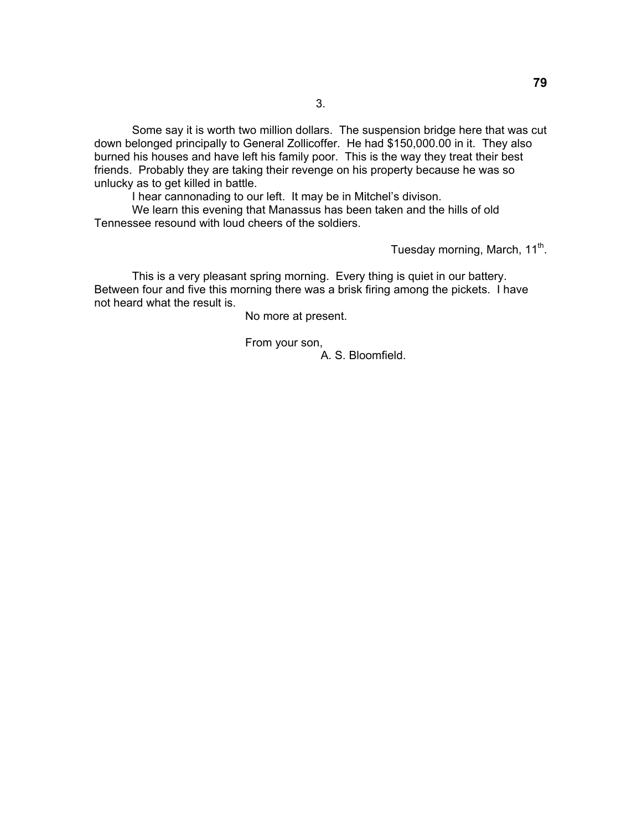Some say it is worth two million dollars. The suspension bridge here that was cut down belonged principally to General Zollicoffer. He had \$150,000.00 in it. They also burned his houses and have left his family poor. This is the way they treat their best friends. Probably they are taking their revenge on his property because he was so unlucky as to get killed in battle.

I hear cannonading to our left. It may be in Mitchel's divison.

 We learn this evening that Manassus has been taken and the hills of old Tennessee resound with loud cheers of the soldiers.

Tuesday morning, March, 11<sup>th</sup>.

 This is a very pleasant spring morning. Every thing is quiet in our battery. Between four and five this morning there was a brisk firing among the pickets. I have not heard what the result is.

No more at present.

From your son,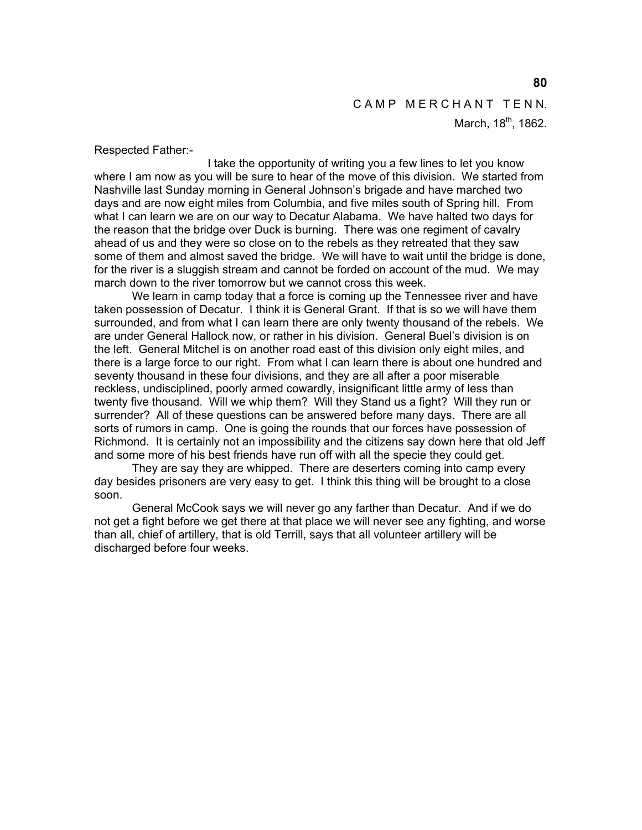#### CAMP MERCHANT TENN.

March, 18<sup>th</sup>, 1862.

Respected Father:-

 I take the opportunity of writing you a few lines to let you know where I am now as you will be sure to hear of the move of this division. We started from Nashville last Sunday morning in General Johnson's brigade and have marched two days and are now eight miles from Columbia, and five miles south of Spring hill. From what I can learn we are on our way to Decatur Alabama. We have halted two days for the reason that the bridge over Duck is burning. There was one regiment of cavalry ahead of us and they were so close on to the rebels as they retreated that they saw some of them and almost saved the bridge. We will have to wait until the bridge is done, for the river is a sluggish stream and cannot be forded on account of the mud. We may march down to the river tomorrow but we cannot cross this week.

 We learn in camp today that a force is coming up the Tennessee river and have taken possession of Decatur. I think it is General Grant. If that is so we will have them surrounded, and from what I can learn there are only twenty thousand of the rebels. We are under General Hallock now, or rather in his division. General Buel's division is on the left. General Mitchel is on another road east of this division only eight miles, and there is a large force to our right. From what I can learn there is about one hundred and seventy thousand in these four divisions, and they are all after a poor miserable reckless, undisciplined, poorly armed cowardly, insignificant little army of less than twenty five thousand. Will we whip them? Will they Stand us a fight? Will they run or surrender? All of these questions can be answered before many days. There are all sorts of rumors in camp. One is going the rounds that our forces have possession of Richmond. It is certainly not an impossibility and the citizens say down here that old Jeff and some more of his best friends have run off with all the specie they could get.

 They are say they are whipped. There are deserters coming into camp every day besides prisoners are very easy to get. I think this thing will be brought to a close soon.

 General McCook says we will never go any farther than Decatur. And if we do not get a fight before we get there at that place we will never see any fighting, and worse than all, chief of artillery, that is old Terrill, says that all volunteer artillery will be discharged before four weeks.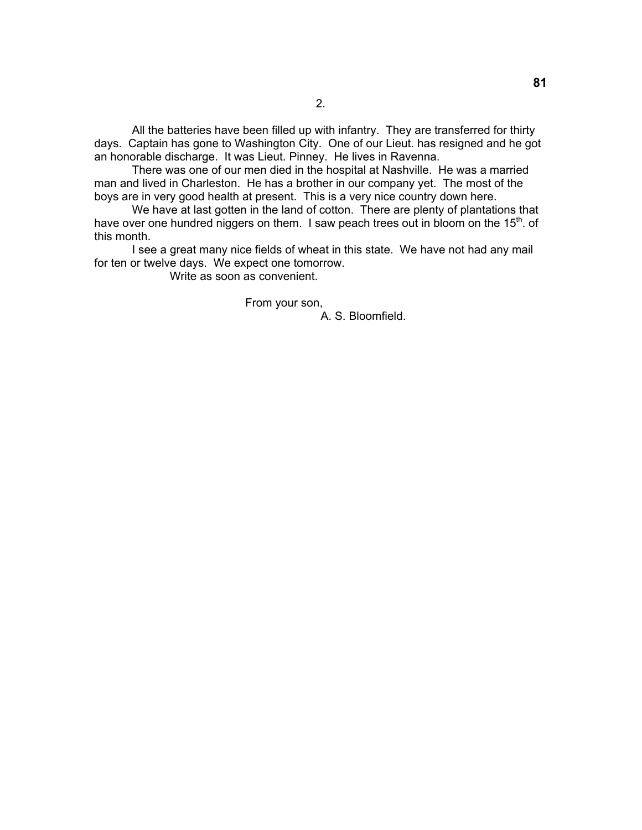All the batteries have been filled up with infantry. They are transferred for thirty days. Captain has gone to Washington City. One of our Lieut. has resigned and he got an honorable discharge. It was Lieut. Pinney. He lives in Ravenna.

There was one of our men died in the hospital at Nashville. He was a married man and lived in Charleston. He has a brother in our company yet. The most of the boys are in very good health at present. This is a very nice country down here.

We have at last gotten in the land of cotton. There are plenty of plantations that have over one hundred niggers on them. I saw peach trees out in bloom on the  $15<sup>th</sup>$ . of this month.

I see a great many nice fields of wheat in this state. We have not had any mail for ten or twelve days. We expect one tomorrow.

Write as soon as convenient.

From your son,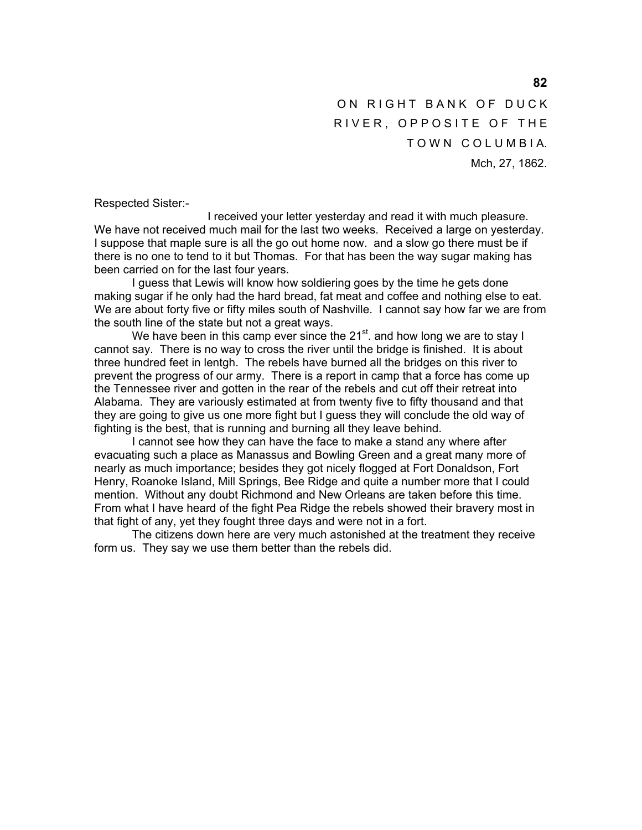ON RIGHT BANK OF DUCK RIVER, OPPOSITE OF THE TOWN COLUMBIA. Mch, 27, 1862.

Respected Sister:-

 I received your letter yesterday and read it with much pleasure. We have not received much mail for the last two weeks. Received a large on yesterday. I suppose that maple sure is all the go out home now. and a slow go there must be if there is no one to tend to it but Thomas. For that has been the way sugar making has been carried on for the last four years.

 I guess that Lewis will know how soldiering goes by the time he gets done making sugar if he only had the hard bread, fat meat and coffee and nothing else to eat. We are about forty five or fifty miles south of Nashville. I cannot say how far we are from the south line of the state but not a great ways.

We have been in this camp ever since the 21<sup>st</sup>. and how long we are to stay I cannot say. There is no way to cross the river until the bridge is finished. It is about three hundred feet in lentgh. The rebels have burned all the bridges on this river to prevent the progress of our army. There is a report in camp that a force has come up the Tennessee river and gotten in the rear of the rebels and cut off their retreat into Alabama. They are variously estimated at from twenty five to fifty thousand and that they are going to give us one more fight but I guess they will conclude the old way of fighting is the best, that is running and burning all they leave behind.

 I cannot see how they can have the face to make a stand any where after evacuating such a place as Manassus and Bowling Green and a great many more of nearly as much importance; besides they got nicely flogged at Fort Donaldson, Fort Henry, Roanoke Island, Mill Springs, Bee Ridge and quite a number more that I could mention. Without any doubt Richmond and New Orleans are taken before this time. From what I have heard of the fight Pea Ridge the rebels showed their bravery most in that fight of any, yet they fought three days and were not in a fort.

 The citizens down here are very much astonished at the treatment they receive form us. They say we use them better than the rebels did.

**82**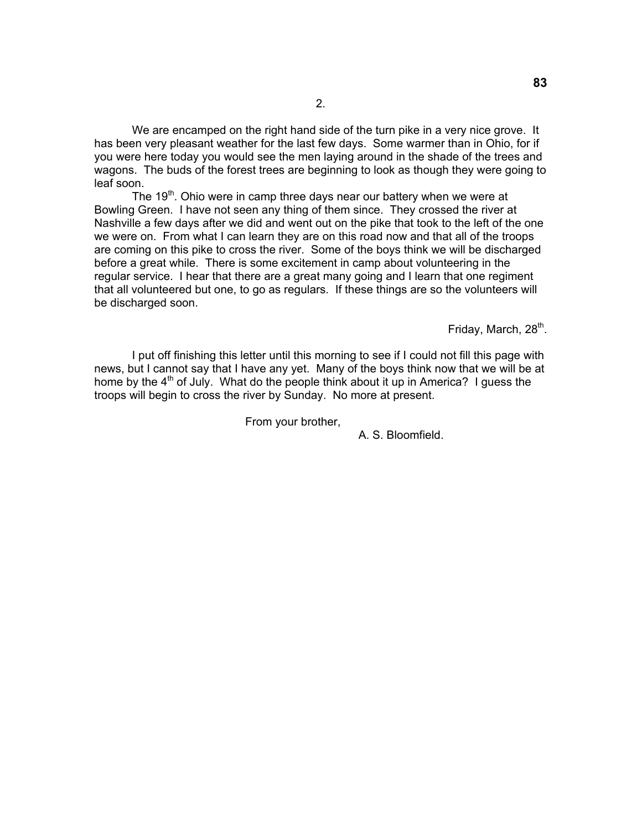We are encamped on the right hand side of the turn pike in a very nice grove. It has been very pleasant weather for the last few days. Some warmer than in Ohio, for if you were here today you would see the men laying around in the shade of the trees and wagons. The buds of the forest trees are beginning to look as though they were going to leaf soon.

The 19<sup>th</sup>. Ohio were in camp three days near our battery when we were at Bowling Green. I have not seen any thing of them since. They crossed the river at Nashville a few days after we did and went out on the pike that took to the left of the one we were on. From what I can learn they are on this road now and that all of the troops are coming on this pike to cross the river. Some of the boys think we will be discharged before a great while. There is some excitement in camp about volunteering in the regular service. I hear that there are a great many going and I learn that one regiment that all volunteered but one, to go as regulars. If these things are so the volunteers will be discharged soon.

Friday, March, 28<sup>th</sup>.

 I put off finishing this letter until this morning to see if I could not fill this page with news, but I cannot say that I have any yet. Many of the boys think now that we will be at home by the  $4<sup>th</sup>$  of July. What do the people think about it up in America? I quess the troops will begin to cross the river by Sunday. No more at present.

From your brother,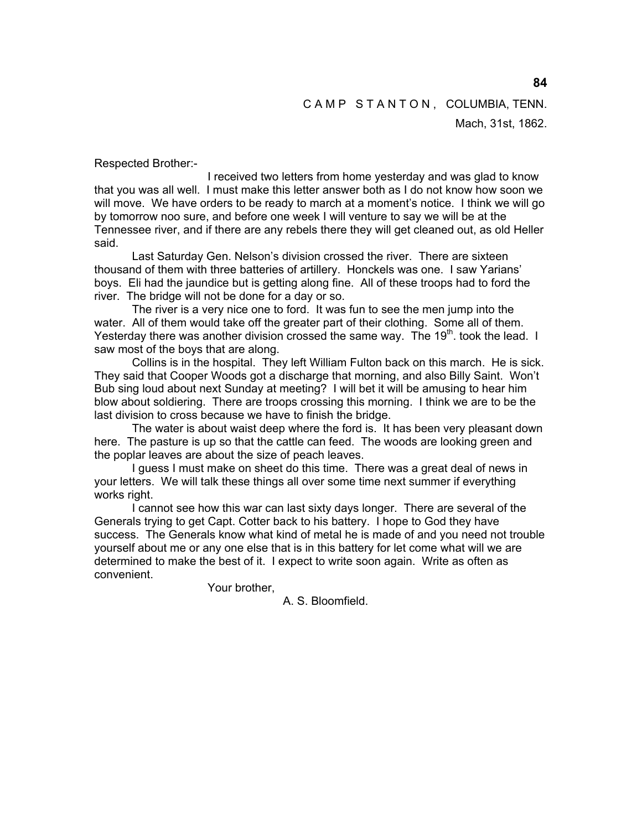Mach, 31st, 1862.

Respected Brother:-

 I received two letters from home yesterday and was glad to know that you was all well. I must make this letter answer both as I do not know how soon we will move. We have orders to be ready to march at a moment's notice. I think we will go by tomorrow noo sure, and before one week I will venture to say we will be at the Tennessee river, and if there are any rebels there they will get cleaned out, as old Heller said.

 Last Saturday Gen. Nelson's division crossed the river. There are sixteen thousand of them with three batteries of artillery. Honckels was one. I saw Yarians' boys. Eli had the jaundice but is getting along fine. All of these troops had to ford the river. The bridge will not be done for a day or so.

 The river is a very nice one to ford. It was fun to see the men jump into the water. All of them would take off the greater part of their clothing. Some all of them. Yesterday there was another division crossed the same way. The 19 $<sup>th</sup>$  took the lead. I</sup> saw most of the boys that are along.

 Collins is in the hospital. They left William Fulton back on this march. He is sick. They said that Cooper Woods got a discharge that morning, and also Billy Saint. Won't Bub sing loud about next Sunday at meeting? I will bet it will be amusing to hear him blow about soldiering. There are troops crossing this morning. I think we are to be the last division to cross because we have to finish the bridge.

 The water is about waist deep where the ford is. It has been very pleasant down here. The pasture is up so that the cattle can feed. The woods are looking green and the poplar leaves are about the size of peach leaves.

 I guess I must make on sheet do this time. There was a great deal of news in your letters. We will talk these things all over some time next summer if everything works right.

 I cannot see how this war can last sixty days longer. There are several of the Generals trying to get Capt. Cotter back to his battery. I hope to God they have success. The Generals know what kind of metal he is made of and you need not trouble yourself about me or any one else that is in this battery for let come what will we are determined to make the best of it. I expect to write soon again. Write as often as convenient.

Your brother,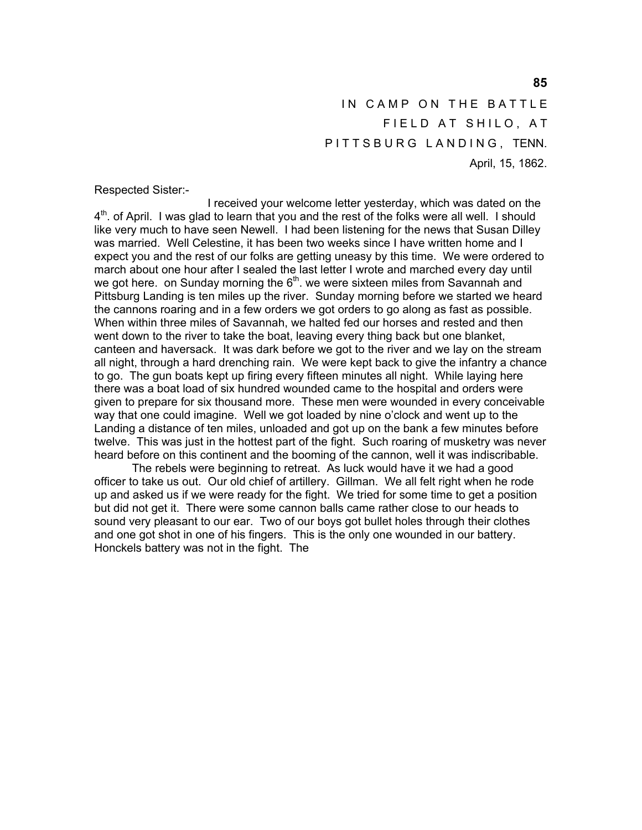IN CAMP ON THE BATTLE FIELD AT SHILO, AT PITTSBURG LANDING, TENN. April, 15, 1862.

Respected Sister:-

 I received your welcome letter yesterday, which was dated on the  $4<sup>th</sup>$ . of April. I was glad to learn that you and the rest of the folks were all well. I should like very much to have seen Newell. I had been listening for the news that Susan Dilley was married. Well Celestine, it has been two weeks since I have written home and I expect you and the rest of our folks are getting uneasy by this time. We were ordered to march about one hour after I sealed the last letter I wrote and marched every day until we got here. on Sunday morning the  $6<sup>th</sup>$ . we were sixteen miles from Savannah and Pittsburg Landing is ten miles up the river. Sunday morning before we started we heard the cannons roaring and in a few orders we got orders to go along as fast as possible. When within three miles of Savannah, we halted fed our horses and rested and then went down to the river to take the boat, leaving every thing back but one blanket, canteen and haversack. It was dark before we got to the river and we lay on the stream all night, through a hard drenching rain. We were kept back to give the infantry a chance to go. The gun boats kept up firing every fifteen minutes all night. While laying here there was a boat load of six hundred wounded came to the hospital and orders were given to prepare for six thousand more. These men were wounded in every conceivable way that one could imagine. Well we got loaded by nine o'clock and went up to the Landing a distance of ten miles, unloaded and got up on the bank a few minutes before twelve. This was just in the hottest part of the fight. Such roaring of musketry was never heard before on this continent and the booming of the cannon, well it was indiscribable.

 The rebels were beginning to retreat. As luck would have it we had a good officer to take us out. Our old chief of artillery. Gillman. We all felt right when he rode up and asked us if we were ready for the fight. We tried for some time to get a position but did not get it. There were some cannon balls came rather close to our heads to sound very pleasant to our ear. Two of our boys got bullet holes through their clothes and one got shot in one of his fingers. This is the only one wounded in our battery. Honckels battery was not in the fight. The

**85**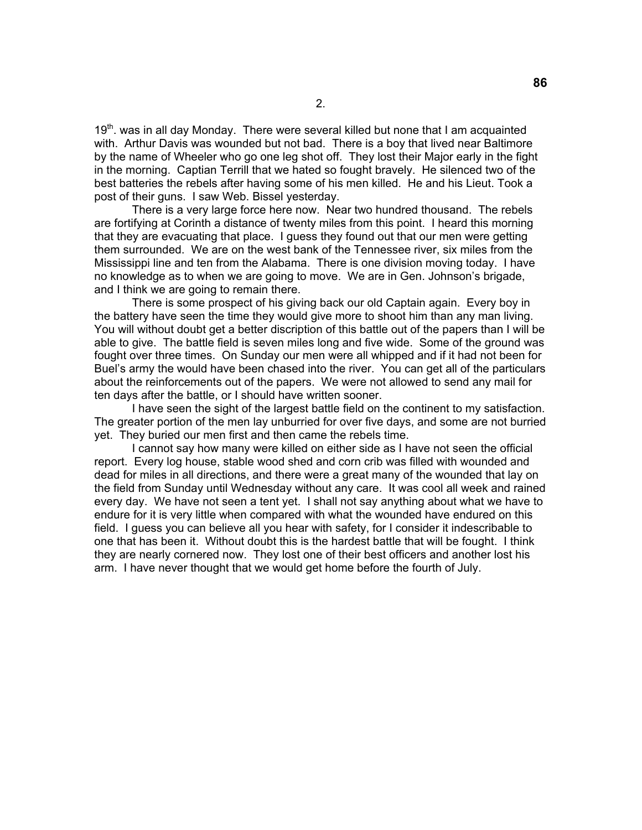$19<sup>th</sup>$ . was in all day Monday. There were several killed but none that I am acquainted with. Arthur Davis was wounded but not bad. There is a boy that lived near Baltimore by the name of Wheeler who go one leg shot off. They lost their Major early in the fight in the morning. Captian Terrill that we hated so fought bravely. He silenced two of the best batteries the rebels after having some of his men killed. He and his Lieut. Took a post of their guns. I saw Web. Bissel yesterday.

 There is a very large force here now. Near two hundred thousand. The rebels are fortifying at Corinth a distance of twenty miles from this point. I heard this morning that they are evacuating that place. I guess they found out that our men were getting them surrounded. We are on the west bank of the Tennessee river, six miles from the Mississippi line and ten from the Alabama. There is one division moving today. I have no knowledge as to when we are going to move. We are in Gen. Johnson's brigade, and I think we are going to remain there.

 There is some prospect of his giving back our old Captain again. Every boy in the battery have seen the time they would give more to shoot him than any man living. You will without doubt get a better discription of this battle out of the papers than I will be able to give. The battle field is seven miles long and five wide. Some of the ground was fought over three times. On Sunday our men were all whipped and if it had not been for Buel's army the would have been chased into the river. You can get all of the particulars about the reinforcements out of the papers. We were not allowed to send any mail for ten days after the battle, or I should have written sooner.

 I have seen the sight of the largest battle field on the continent to my satisfaction. The greater portion of the men lay unburried for over five days, and some are not burried yet. They buried our men first and then came the rebels time.

 I cannot say how many were killed on either side as I have not seen the official report. Every log house, stable wood shed and corn crib was filled with wounded and dead for miles in all directions, and there were a great many of the wounded that lay on the field from Sunday until Wednesday without any care. It was cool all week and rained every day. We have not seen a tent yet. I shall not say anything about what we have to endure for it is very little when compared with what the wounded have endured on this field. I guess you can believe all you hear with safety, for I consider it indescribable to one that has been it. Without doubt this is the hardest battle that will be fought. I think they are nearly cornered now. They lost one of their best officers and another lost his arm. I have never thought that we would get home before the fourth of July.